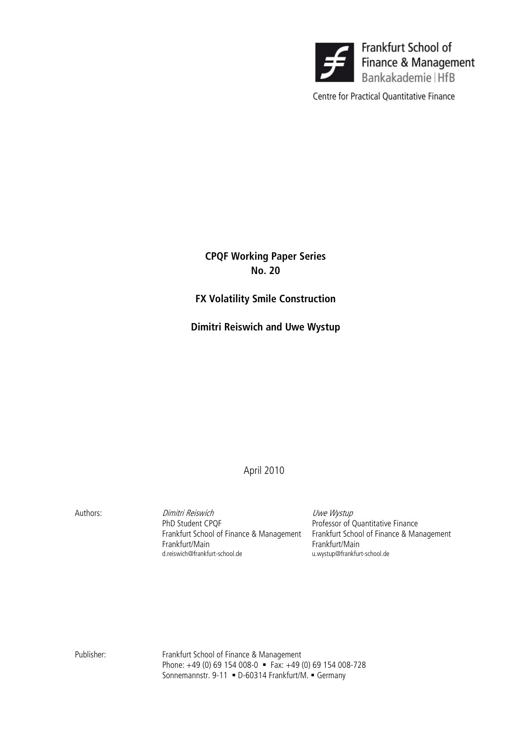

Centre for Practical Quantitative Finance

CPQF Working Paper Series No. 20

# FX Volatility Smile Construction

Dimitri Reiswich and Uwe Wystup

April 2010

Authors: Dimitri Reiswich Uwe Wystup PhD Student CPQF **Professor of Quantitative Finance**  Frankfurt School of Finance & Management Frankfurt School of Finance & Management Frankfurt/Main Frankfurt/Main d.reiswich@frankfurt-school.de

Publisher: Frankfurt School of Finance & Management Phone: +49 (0) 69 154 008-0 Fax: +49 (0) 69 154 008-728 Sonnemannstr. 9-11 • D-60314 Frankfurt/M. • Germany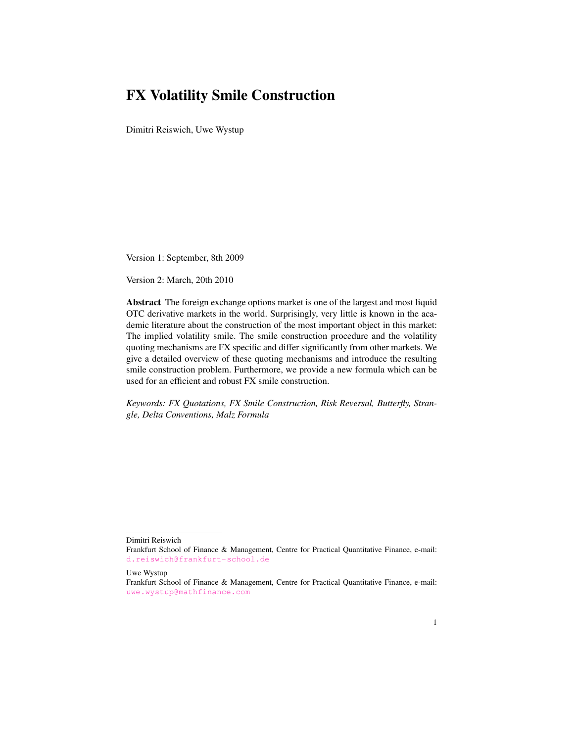# FX Volatility Smile Construction

Dimitri Reiswich, Uwe Wystup

Version 1: September, 8th 2009

Version 2: March, 20th 2010

Abstract The foreign exchange options market is one of the largest and most liquid OTC derivative markets in the world. Surprisingly, very little is known in the academic literature about the construction of the most important object in this market: The implied volatility smile. The smile construction procedure and the volatility quoting mechanisms are FX specific and differ significantly from other markets. We give a detailed overview of these quoting mechanisms and introduce the resulting smile construction problem. Furthermore, we provide a new formula which can be used for an efficient and robust FX smile construction.

*Keywords: FX Quotations, FX Smile Construction, Risk Reversal, Butterfly, Strangle, Delta Conventions, Malz Formula*

Dimitri Reiswich

Uwe Wystup

Frankfurt School of Finance & Management, Centre for Practical Quantitative Finance, e-mail: <d.reiswich@frankfurt-school.de>

Frankfurt School of Finance & Management, Centre for Practical Quantitative Finance, e-mail: <uwe.wystup@mathfinance.com>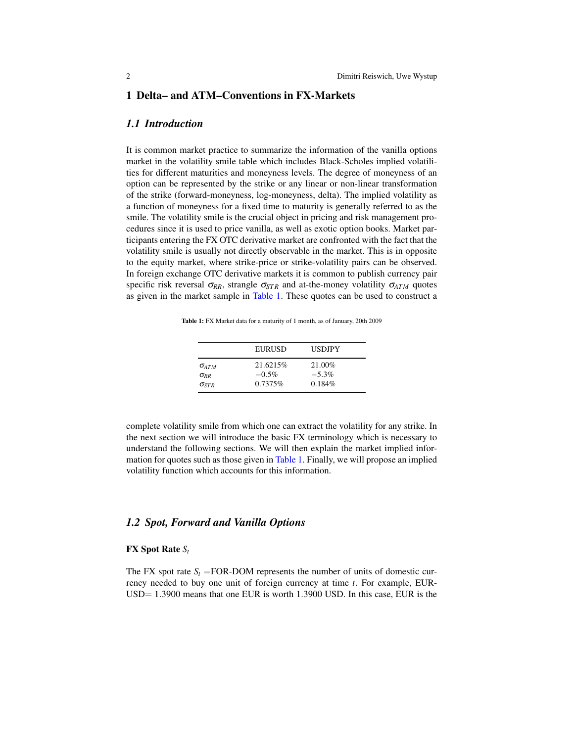# 1 Delta– and ATM–Conventions in FX-Markets

# *1.1 Introduction*

It is common market practice to summarize the information of the vanilla options market in the volatility smile table which includes Black-Scholes implied volatilities for different maturities and moneyness levels. The degree of moneyness of an option can be represented by the strike or any linear or non-linear transformation of the strike (forward-moneyness, log-moneyness, delta). The implied volatility as a function of moneyness for a fixed time to maturity is generally referred to as the smile. The volatility smile is the crucial object in pricing and risk management procedures since it is used to price vanilla, as well as exotic option books. Market participants entering the FX OTC derivative market are confronted with the fact that the volatility smile is usually not directly observable in the market. This is in opposite to the equity market, where strike-price or strike-volatility pairs can be observed. In foreign exchange OTC derivative markets it is common to publish currency pair specific risk reversal  $\sigma_{RR}$ , strangle  $\sigma_{STR}$  and at-the-money volatility  $\sigma_{ATM}$  quotes as given in the market sample in [Table](#page-2-0) [1.](#page-2-0) These quotes can be used to construct a

<span id="page-2-0"></span>Table 1: FX Market data for a maturity of 1 month, as of January, 20th 2009

|                        | EURUSD    | <b>USDJPY</b> |
|------------------------|-----------|---------------|
| $\sigma_{ATM}$         | 21.6215\% | 21.00%        |
| $\sigma_{\mathit{RR}}$ | $-0.5\%$  | $-5.3\%$      |
| $\sigma_{STR}$         | 0.7375%   | 0.184%        |

complete volatility smile from which one can extract the volatility for any strike. In the next section we will introduce the basic FX terminology which is necessary to understand the following sections. We will then explain the market implied information for quotes such as those given in [Table](#page-2-0) [1.](#page-2-0) Finally, we will propose an implied volatility function which accounts for this information.

# *1.2 Spot, Forward and Vanilla Options*

### FX Spot Rate *S<sup>t</sup>*

The FX spot rate  $S_t$  =FOR-DOM represents the number of units of domestic currency needed to buy one unit of foreign currency at time *t*. For example, EUR-USD= 1.3900 means that one EUR is worth 1.3900 USD. In this case, EUR is the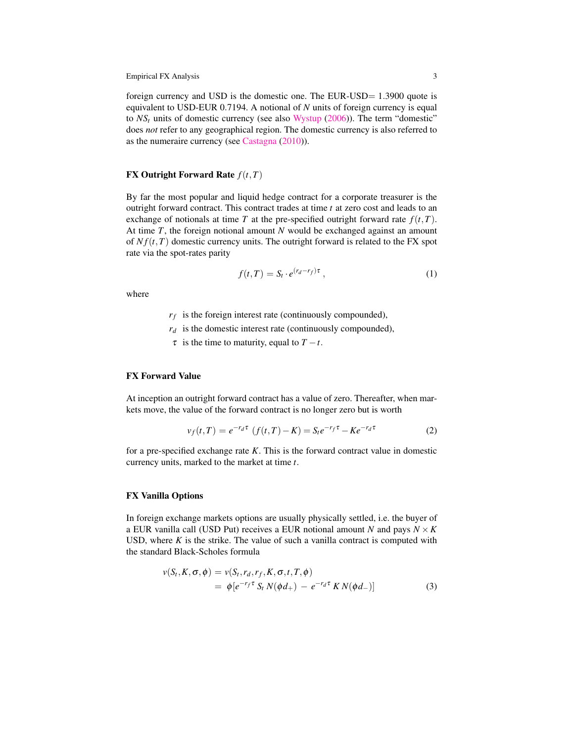foreign currency and USD is the domestic one. The EUR-USD= 1.3900 quote is equivalent to USD-EUR 0.7194. A notional of *N* units of foreign currency is equal to  $NS<sub>t</sub>$  units of domestic currency (see also [Wystup](#page-32-0) [\(2006\)](#page-32-0)). The term "domestic" does *not* refer to any geographical region. The domestic currency is also referred to as the numeraire currency (see [Castagna](#page-32-1) [\(2010\)](#page-32-1)).

# **FX Outright Forward Rate**  $f(t, T)$

By far the most popular and liquid hedge contract for a corporate treasurer is the outright forward contract. This contract trades at time *t* at zero cost and leads to an exchange of notionals at time *T* at the pre-specified outright forward rate  $f(t,T)$ . At time *T*, the foreign notional amount *N* would be exchanged against an amount of  $Nf(t,T)$  domestic currency units. The outright forward is related to the FX spot rate via the spot-rates parity

<span id="page-3-1"></span>
$$
f(t,T) = S_t \cdot e^{(r_d - r_f)\tau} \,, \tag{1}
$$

where

*rf* is the foreign interest rate (continuously compounded),

- $r_d$  is the domestic interest rate (continuously compounded),
- $\tau$  is the time to maturity, equal to  $T t$ .

# FX Forward Value

At inception an outright forward contract has a value of zero. Thereafter, when markets move, the value of the forward contract is no longer zero but is worth

$$
v_f(t,T) = e^{-r_d \tau} (f(t,T) - K) = S_t e^{-r_f \tau} - K e^{-r_d \tau}
$$
 (2)

for a pre-specified exchange rate *K*. This is the forward contract value in domestic currency units, marked to the market at time *t*.

## FX Vanilla Options

In foreign exchange markets options are usually physically settled, i.e. the buyer of a EUR vanilla call (USD Put) receives a EUR notional amount *N* and pays  $N \times K$ USD, where  $K$  is the strike. The value of such a vanilla contract is computed with the standard Black-Scholes formula

<span id="page-3-0"></span>
$$
\nu(S_t, K, \sigma, \phi) = \nu(S_t, r_d, r_f, K, \sigma, t, T, \phi)
$$
  
= 
$$
\phi[e^{-r_f \tau} S_t N(\phi d_+) - e^{-r_d \tau} K N(\phi d_-)]
$$
 (3)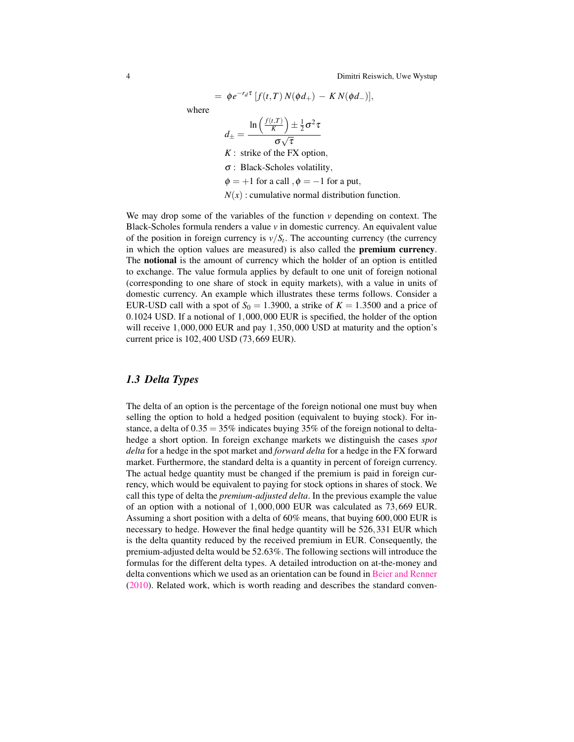$$
= \phi e^{-r_d \tau} [f(t,T) N(\phi d_+) - K N(\phi d_-)],
$$

where

$$
d_{\pm} = \frac{\ln\left(\frac{f(t,T)}{K}\right) \pm \frac{1}{2}\sigma^2 \tau}{\sigma\sqrt{\tau}}
$$

*K* : strike of the FX option, σ : Black-Scholes volatility,

 $\phi = +1$  for a call ,  $\phi = -1$  for a put,

 $N(x)$ : cumulative normal distribution function.

We may drop some of the variables of the function *v* depending on context. The Black-Scholes formula renders a value *v* in domestic currency. An equivalent value of the position in foreign currency is  $v/S_t$ . The accounting currency (the currency in which the option values are measured) is also called the premium currency. The notional is the amount of currency which the holder of an option is entitled to exchange. The value formula applies by default to one unit of foreign notional (corresponding to one share of stock in equity markets), with a value in units of domestic currency. An example which illustrates these terms follows. Consider a EUR-USD call with a spot of  $S_0 = 1.3900$ , a strike of  $K = 1.3500$  and a price of 0.1024 USD. If a notional of 1,000,000 EUR is specified, the holder of the option will receive 1,000,000 EUR and pay 1,350,000 USD at maturity and the option's current price is 102,400 USD (73,669 EUR).

## *1.3 Delta Types*

The delta of an option is the percentage of the foreign notional one must buy when selling the option to hold a hedged position (equivalent to buying stock). For instance, a delta of  $0.35 = 35\%$  indicates buying 35% of the foreign notional to deltahedge a short option. In foreign exchange markets we distinguish the cases *spot delta* for a hedge in the spot market and *forward delta* for a hedge in the FX forward market. Furthermore, the standard delta is a quantity in percent of foreign currency. The actual hedge quantity must be changed if the premium is paid in foreign currency, which would be equivalent to paying for stock options in shares of stock. We call this type of delta the *premium-adjusted delta*. In the previous example the value of an option with a notional of 1,000,000 EUR was calculated as 73,669 EUR. Assuming a short position with a delta of 60% means, that buying 600,000 EUR is necessary to hedge. However the final hedge quantity will be 526,331 EUR which is the delta quantity reduced by the received premium in EUR. Consequently, the premium-adjusted delta would be 52.63%. The following sections will introduce the formulas for the different delta types. A detailed introduction on at-the-money and delta conventions which we used as an orientation can be found in [Beier and Renner](#page-31-0) [\(2010\)](#page-31-0). Related work, which is worth reading and describes the standard conven-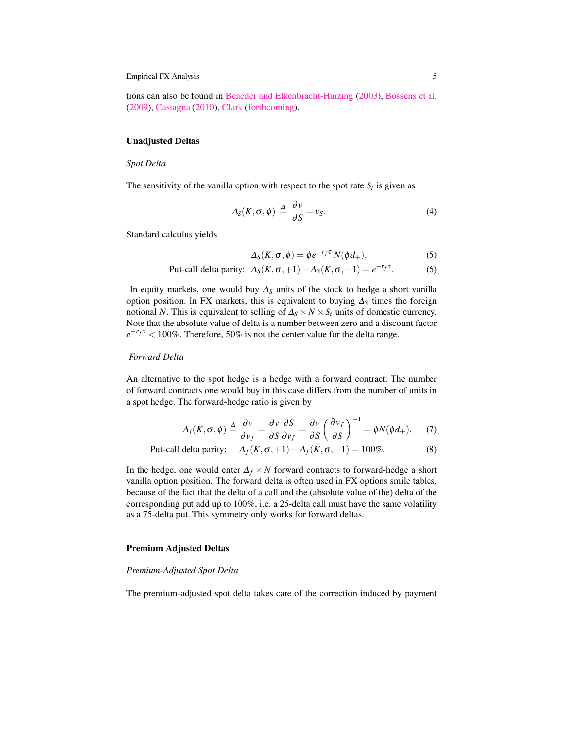tions can also be found in [Beneder and Elkenbracht-Huizing](#page-32-2) [\(2003\)](#page-32-2), [Bossens et al.](#page-32-3) [\(2009\)](#page-32-3), [Castagna](#page-32-1) [\(2010\)](#page-32-1), [Clark](#page-32-4) [\(forthcoming\)](#page-32-4).

#### Unadjusted Deltas

#### *Spot Delta*

The sensitivity of the vanilla option with respect to the spot rate  $S_t$  is given as

$$
\Delta_S(K,\sigma,\phi) \stackrel{\Delta}{=} \frac{\partial v}{\partial S} = v_S. \tag{4}
$$

Standard calculus yields

$$
\Delta_S(K,\sigma,\phi) = \phi e^{-r_f \tau} N(\phi d_+),\tag{5}
$$

Put-call delta parity: 
$$
\Delta_S(K, \sigma, +1) - \Delta_S(K, \sigma, -1) = e^{-r_f \tau}
$$
. (6)

In equity markets, one would buy  $\Delta$ <sub>S</sub> units of the stock to hedge a short vanilla option position. In FX markets, this is equivalent to buying ∆*<sup>S</sup>* times the foreign notional *N*. This is equivalent to selling of  $\Delta_S \times N \times S_t$  units of domestic currency. Note that the absolute value of delta is a number between zero and a discount factor  $e^{-r_f\tau}$  < 100%. Therefore, 50% is not the center value for the delta range.

### *Forward Delta*

An alternative to the spot hedge is a hedge with a forward contract. The number of forward contracts one would buy in this case differs from the number of units in a spot hedge. The forward-hedge ratio is given by

$$
\Delta_f(K,\sigma,\phi) \stackrel{\Delta}{=} \frac{\partial v}{\partial v_f} = \frac{\partial v}{\partial S} \frac{\partial S}{\partial v_f} = \frac{\partial v}{\partial S} \left(\frac{\partial v_f}{\partial S}\right)^{-1} = \phi N(\phi d_+), \quad (7)
$$

Put-call delta parity: 
$$
\Delta_f(K, \sigma, +1) - \Delta_f(K, \sigma, -1) = 100\%
$$
. (8)

In the hedge, one would enter  $\Delta_f \times N$  forward contracts to forward-hedge a short vanilla option position. The forward delta is often used in FX options smile tables, because of the fact that the delta of a call and the (absolute value of the) delta of the corresponding put add up to 100%, i.e. a 25-delta call must have the same volatility as a 75-delta put. This symmetry only works for forward deltas.

#### Premium Adjusted Deltas

#### *Premium-Adjusted Spot Delta*

The premium-adjusted spot delta takes care of the correction induced by payment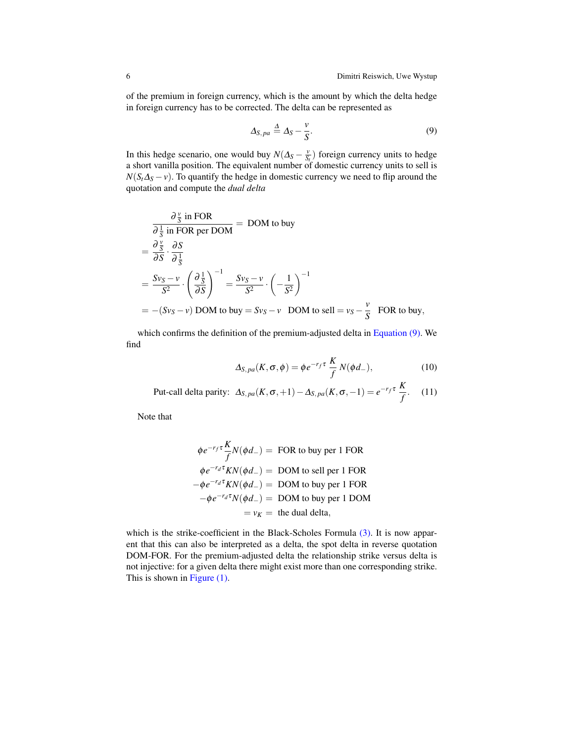of the premium in foreign currency, which is the amount by which the delta hedge in foreign currency has to be corrected. The delta can be represented as

<span id="page-6-0"></span>
$$
\Delta_{S,pa} \stackrel{\Delta}{=} \Delta_S - \frac{v}{S}.\tag{9}
$$

In this hedge scenario, one would buy  $N(\Delta_S - \frac{v}{S_t})$  foreign currency units to hedge a short vanilla position. The equivalent number of domestic currency units to sell is  $N(S_t\Delta_S - v)$ . To quantify the hedge in domestic currency we need to flip around the quotation and compute the *dual delta*

$$
\frac{\partial \frac{v}{S} \text{ in FOR}}{\partial \frac{1}{S} \text{ in FOR per DOM}} = \text{DOM to buy}
$$
\n
$$
= \frac{\partial \frac{v}{S}}{\partial S} \cdot \frac{\partial S}{\partial \frac{1}{S}}
$$
\n
$$
= \frac{Sv_S - v}{S^2} \cdot \left(\frac{\partial \frac{1}{S}}{\partial S}\right)^{-1} = \frac{Sv_S - v}{S^2} \cdot \left(-\frac{1}{S^2}\right)^{-1}
$$
\n
$$
= -(Sv_S - v) \text{ DOM to buy} = Sv_S - v \text{ DOM to sell} = v_S - \frac{v}{S} \text{ FOR to buy},
$$

which confirms the definition of the premium-adjusted delta in [Equation \(9\).](#page-6-0) We find

$$
\Delta_{S,pa}(K,\sigma,\phi) = \phi e^{-r_f \tau} \frac{K}{f} N(\phi d_-), \qquad (10)
$$

Put-call delta parity:  $\Delta_{S,pa}(K,\sigma,+1) - \Delta_{S,pa}(K,\sigma,-1) = e^{-r_f \tau} \frac{K}{f}$  $\frac{1}{f}$ . (11)

Note that

$$
\phi e^{-r_f \tau} \frac{K}{f} N(\phi d_{-}) = \text{FOR to buy per 1 FOR}
$$
  
\n
$$
\phi e^{-r_d \tau} K N(\phi d_{-}) = \text{DOM to sell per 1 FOR}
$$
  
\n
$$
-\phi e^{-r_d \tau} K N(\phi d_{-}) = \text{DOM to buy per 1 FOR}
$$
  
\n
$$
-\phi e^{-r_d \tau} N(\phi d_{-}) = \text{DOM to buy per 1 DOM}
$$
  
\n
$$
= v_K = \text{the dual delta},
$$

which is the strike-coefficient in the Black-Scholes Formula [\(3\).](#page-3-0) It is now apparent that this can also be interpreted as a delta, the spot delta in reverse quotation DOM-FOR. For the premium-adjusted delta the relationship strike versus delta is not injective: for a given delta there might exist more than one corresponding strike. This is shown in [Figure \(1\).](#page-7-0)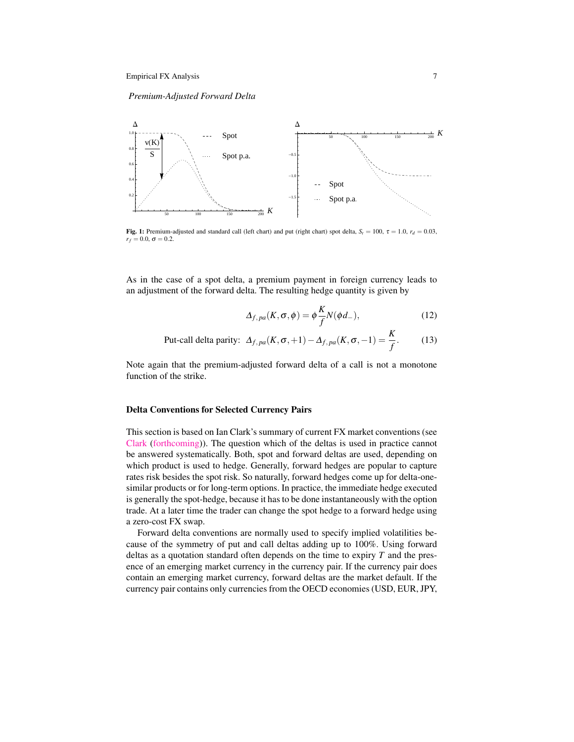*Premium-Adjusted Forward Delta*

<span id="page-7-0"></span>

Fig. 1: Premium-adjusted and standard call (left chart) and put (right chart) spot delta,  $S_t = 100$ ,  $\tau = 1.0$ ,  $r_d = 0.03$ ,  $r_f = 0.0, \sigma = 0.2.$ 

As in the case of a spot delta, a premium payment in foreign currency leads to an adjustment of the forward delta. The resulting hedge quantity is given by

$$
\Delta_{f,pa}(K,\sigma,\phi) = \phi \frac{K}{f} N(\phi d_-),\tag{12}
$$

Put-call delta parity: 
$$
\Delta_{f,pa}(K, \sigma, +1) - \Delta_{f,pa}(K, \sigma, -1) = \frac{K}{f}
$$
. (13)

Note again that the premium-adjusted forward delta of a call is not a monotone function of the strike.

#### Delta Conventions for Selected Currency Pairs

This section is based on Ian Clark's summary of current FX market conventions (see [Clark](#page-32-4) [\(forthcoming\)](#page-32-4)). The question which of the deltas is used in practice cannot be answered systematically. Both, spot and forward deltas are used, depending on which product is used to hedge. Generally, forward hedges are popular to capture rates risk besides the spot risk. So naturally, forward hedges come up for delta-onesimilar products or for long-term options. In practice, the immediate hedge executed is generally the spot-hedge, because it has to be done instantaneously with the option trade. At a later time the trader can change the spot hedge to a forward hedge using a zero-cost FX swap.

Forward delta conventions are normally used to specify implied volatilities because of the symmetry of put and call deltas adding up to 100%. Using forward deltas as a quotation standard often depends on the time to expiry *T* and the presence of an emerging market currency in the currency pair. If the currency pair does contain an emerging market currency, forward deltas are the market default. If the currency pair contains only currencies from the OECD economies (USD, EUR, JPY,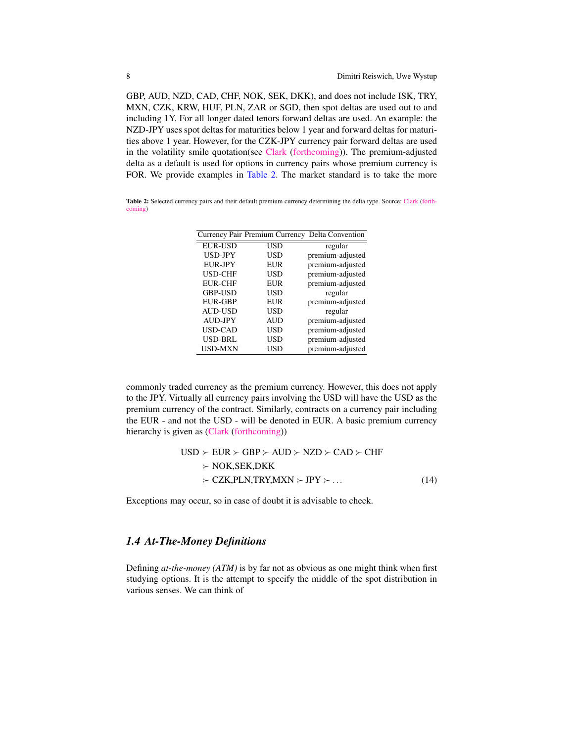GBP, AUD, NZD, CAD, CHF, NOK, SEK, DKK), and does not include ISK, TRY, MXN, CZK, KRW, HUF, PLN, ZAR or SGD, then spot deltas are used out to and including 1Y. For all longer dated tenors forward deltas are used. An example: the NZD-JPY uses spot deltas for maturities below 1 year and forward deltas for maturities above 1 year. However, for the CZK-JPY currency pair forward deltas are used in the volatility smile quotation(see [Clark](#page-32-4) [\(forthcoming\)](#page-32-4)). The premium-adjusted delta as a default is used for options in currency pairs whose premium currency is FOR. We provide examples in [Table](#page-8-0) [2.](#page-8-0) The market standard is to take the more

<span id="page-8-0"></span>Table 2: Selected currency pairs and their default premium currency determining the delta type. Source: [Clark](#page-32-4) [\(forth](#page-32-4)[coming\)](#page-32-4)

|                | Currency Pair Premium Currency | Delta Convention |
|----------------|--------------------------------|------------------|
| <b>EUR-USD</b> | USD                            | regular          |
| USD-JPY        | USD                            | premium-adjusted |
| <b>EUR-JPY</b> | EUR                            | premium-adjusted |
| <b>USD-CHF</b> | USD                            | premium-adjusted |
| <b>EUR-CHF</b> | <b>EUR</b>                     | premium-adjusted |
| <b>GBP-USD</b> | USD                            | regular          |
| <b>EUR-GBP</b> | EUR                            | premium-adjusted |
| <b>AUD-USD</b> | USD                            | regular          |
| <b>AUD-JPY</b> | AUD                            | premium-adjusted |
| USD-CAD        | USD                            | premium-adjusted |
| <b>USD-BRL</b> | USD                            | premium-adjusted |
| <b>USD-MXN</b> | USD                            | premium-adjusted |

commonly traded currency as the premium currency. However, this does not apply to the JPY. Virtually all currency pairs involving the USD will have the USD as the premium currency of the contract. Similarly, contracts on a currency pair including the EUR - and not the USD - will be denoted in EUR. A basic premium currency hierarchy is given as [\(Clark](#page-32-4) [\(forthcoming\)](#page-32-4))

$$
USD \succ EUR \succ GBP \succ AND \succ NZD \succ CAD \succ CHF
$$
  
\n
$$
\succ \text{NOK,SEK,DKK}
$$
  
\n
$$
\succ CZK,PLN,TRY,MXN \succ JPY \succ ...
$$
 (14)

Exceptions may occur, so in case of doubt it is advisable to check.

# *1.4 At-The-Money Definitions*

Defining *at-the-money (ATM)* is by far not as obvious as one might think when first studying options. It is the attempt to specify the middle of the spot distribution in various senses. We can think of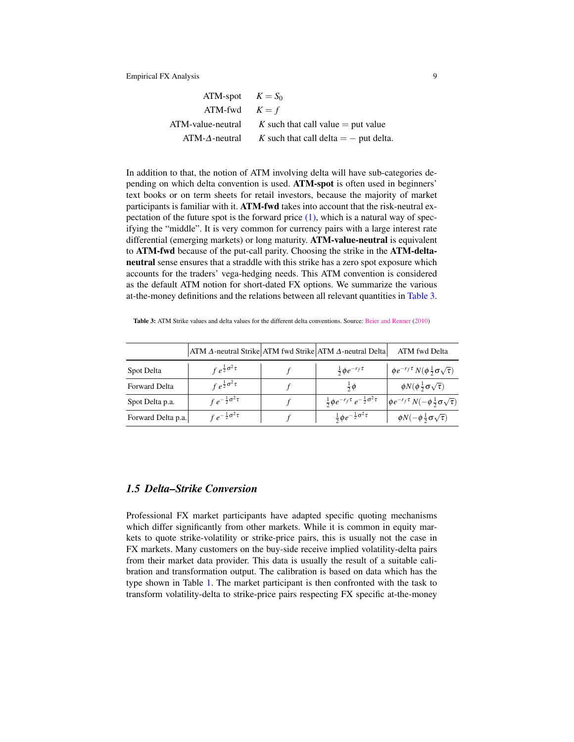| ATM-spot $K = S_0$ |                                         |
|--------------------|-----------------------------------------|
| ATM-fwd $K = f$    |                                         |
| ATM-value-neutral  | K such that call value $=$ put value    |
| $ATM-A-neutral$    | K such that call delta $=$ - put delta. |

In addition to that, the notion of ATM involving delta will have sub-categories depending on which delta convention is used. ATM-spot is often used in beginners' text books or on term sheets for retail investors, because the majority of market participants is familiar with it. ATM-fwd takes into account that the risk-neutral expectation of the future spot is the forward price  $(1)$ , which is a natural way of specifying the "middle". It is very common for currency pairs with a large interest rate differential (emerging markets) or long maturity. ATM-value-neutral is equivalent to ATM-fwd because of the put-call parity. Choosing the strike in the ATM-deltaneutral sense ensures that a straddle with this strike has a zero spot exposure which accounts for the traders' vega-hedging needs. This ATM convention is considered as the default ATM notion for short-dated FX options. We summarize the various at-the-money definitions and the relations between all relevant quantities in [Table](#page-9-0) [3.](#page-9-0)

|                      | $ATM \Delta$ -neutral Strike ATM fwd Strike ATM $\Delta$ -neutral Delta |                                                            | ATM fwd Delta                                                 |
|----------------------|-------------------------------------------------------------------------|------------------------------------------------------------|---------------------------------------------------------------|
| Spot Delta           | $\int e^{\frac{1}{2}\sigma^2\tau}$                                      | $rac{1}{2}$ $\phi e^{-r_f \tau}$                           | $\phi e^{-r_f \tau} N(\phi \frac{1}{2} \sigma \sqrt{\tau})$   |
| <b>Forward Delta</b> | $\int e^{\frac{1}{2}\sigma^2\tau}$                                      | $rac{1}{2}\phi$                                            | $\phi N(\phi \frac{1}{2} \sigma \sqrt{\tau})$                 |
| Spot Delta p.a.      | $f e^{-\frac{1}{2}\sigma^2 \tau}$                                       | $\frac{1}{2}\phi e^{-r_f\tau}e^{-\frac{1}{2}\sigma^2\tau}$ | $\oint e^{-r_f \tau} N(-\phi \frac{1}{2} \sigma \sqrt{\tau})$ |
| Forward Delta p.a.   | $f e^{-\frac{1}{2}\sigma^2 \tau}$                                       | $\frac{1}{2}$ $\phi e^{-\frac{1}{2}\sigma^2 \tau}$         | $\phi N(-\phi \frac{1}{2}\sigma \sqrt{\tau})$                 |

<span id="page-9-0"></span>Table 3: ATM Strike values and delta values for the different delta conventions. Source: [Beier and Renner](#page-31-0) [\(2010\)](#page-31-0)

# <span id="page-9-1"></span>*1.5 Delta–Strike Conversion*

Professional FX market participants have adapted specific quoting mechanisms which differ significantly from other markets. While it is common in equity markets to quote strike-volatility or strike-price pairs, this is usually not the case in FX markets. Many customers on the buy-side receive implied volatility-delta pairs from their market data provider. This data is usually the result of a suitable calibration and transformation output. The calibration is based on data which has the type shown in Table [1.](#page-2-0) The market participant is then confronted with the task to transform volatility-delta to strike-price pairs respecting FX specific at-the-money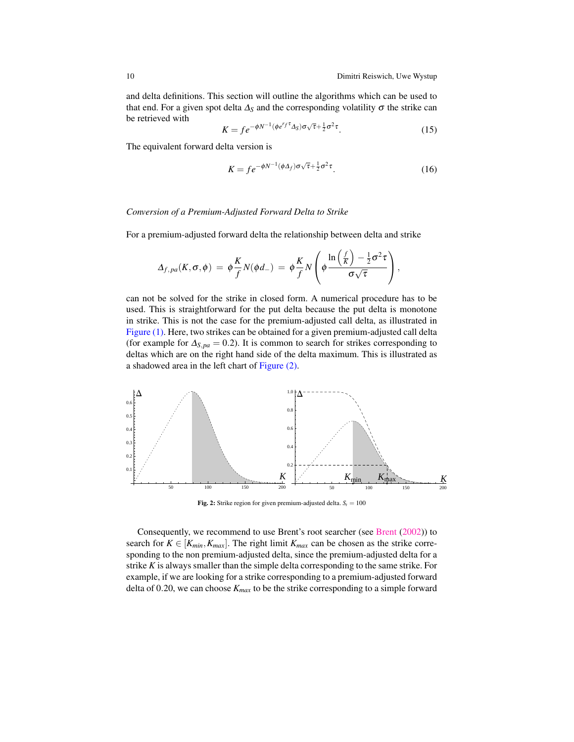and delta definitions. This section will outline the algorithms which can be used to that end. For a given spot delta  $\Delta_S$  and the corresponding volatility  $\sigma$  the strike can be retrieved with √

$$
K = f e^{-\phi N^{-1} (\phi e^{r} f^{\tau} \Delta_S) \sigma \sqrt{\tau} + \frac{1}{2} \sigma^2 \tau}.
$$
 (15)

The equivalent forward delta version is

<span id="page-10-1"></span>
$$
K = f e^{-\phi N^{-1}(\phi \Delta_f) \sigma \sqrt{\tau} + \frac{1}{2} \sigma^2 \tau}.
$$
 (16)

#### *Conversion of a Premium-Adjusted Forward Delta to Strike*

For a premium-adjusted forward delta the relationship between delta and strike

<span id="page-10-2"></span>
$$
\Delta_{f,pa}(K,\sigma,\phi) = \phi \frac{K}{f} N(\phi d_-) = \phi \frac{K}{f} N \left( \phi \frac{\ln \left( \frac{f}{K} \right) - \frac{1}{2} \sigma^2 \tau}{\sigma \sqrt{\tau}} \right),
$$

can not be solved for the strike in closed form. A numerical procedure has to be used. This is straightforward for the put delta because the put delta is monotone in strike. This is not the case for the premium-adjusted call delta, as illustrated in [Figure \(1\).](#page-7-0) Here, two strikes can be obtained for a given premium-adjusted call delta (for example for  $\Delta_{S,pa} = 0.2$ ). It is common to search for strikes corresponding to deltas which are on the right hand side of the delta maximum. This is illustrated as a shadowed area in the left chart of [Figure \(2\).](#page-10-0)

<span id="page-10-0"></span>

**Fig. 2:** Strike region for given premium-adjusted delta.  $S_t = 100$ 

Consequently, we recommend to use Brent's root searcher (see [Brent](#page-32-5) [\(2002\)](#page-32-5)) to search for  $K \in [K_{min}, K_{max}]$ . The right limit  $K_{max}$  can be chosen as the strike corresponding to the non premium-adjusted delta, since the premium-adjusted delta for a strike *K* is always smaller than the simple delta corresponding to the same strike. For example, if we are looking for a strike corresponding to a premium-adjusted forward delta of 0.20, we can choose *Kmax* to be the strike corresponding to a simple forward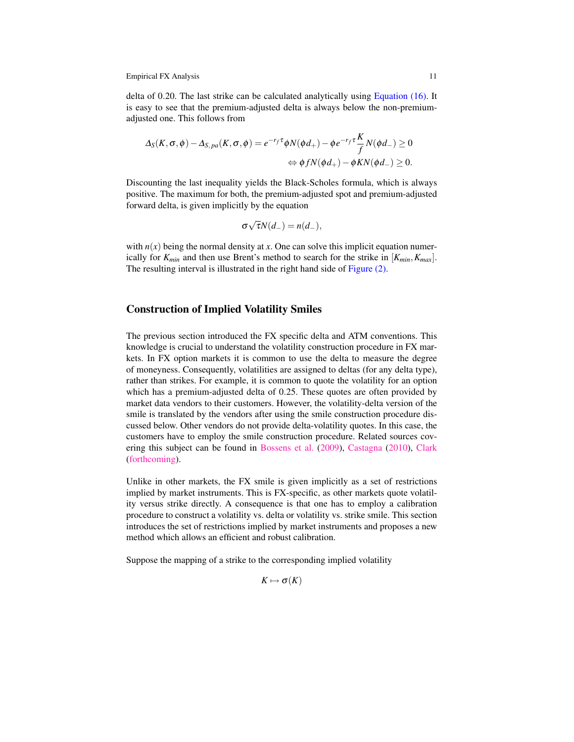delta of 0.20. The last strike can be calculated analytically using [Equation \(16\).](#page-10-1) It is easy to see that the premium-adjusted delta is always below the non-premiumadjusted one. This follows from

$$
\Delta_S(K, \sigma, \phi) - \Delta_{S,pa}(K, \sigma, \phi) = e^{-r_f \tau} \phi N(\phi d_+) - \phi e^{-r_f \tau} \frac{K}{f} N(\phi d_-) \ge 0
$$
  

$$
\Leftrightarrow \phi f N(\phi d_+) - \phi K N(\phi d_-) \ge 0.
$$

Discounting the last inequality yields the Black-Scholes formula, which is always positive. The maximum for both, the premium-adjusted spot and premium-adjusted forward delta, is given implicitly by the equation

$$
\sigma\sqrt{\tau}N(d_{-})=n(d_{-}),
$$

with  $n(x)$  being the normal density at *x*. One can solve this implicit equation numerically for  $K_{min}$  and then use Brent's method to search for the strike in  $[K_{min}, K_{max}]$ . The resulting interval is illustrated in the right hand side of [Figure \(2\).](#page-10-0)

# Construction of Implied Volatility Smiles

The previous section introduced the FX specific delta and ATM conventions. This knowledge is crucial to understand the volatility construction procedure in FX markets. In FX option markets it is common to use the delta to measure the degree of moneyness. Consequently, volatilities are assigned to deltas (for any delta type), rather than strikes. For example, it is common to quote the volatility for an option which has a premium-adjusted delta of 0.25. These quotes are often provided by market data vendors to their customers. However, the volatility-delta version of the smile is translated by the vendors after using the smile construction procedure discussed below. Other vendors do not provide delta-volatility quotes. In this case, the customers have to employ the smile construction procedure. Related sources covering this subject can be found in [Bossens et al.](#page-32-3) [\(2009\)](#page-32-3), [Castagna](#page-32-1) [\(2010\)](#page-32-1), [Clark](#page-32-4) [\(forthcoming\)](#page-32-4).

Unlike in other markets, the FX smile is given implicitly as a set of restrictions implied by market instruments. This is FX-specific, as other markets quote volatility versus strike directly. A consequence is that one has to employ a calibration procedure to construct a volatility vs. delta or volatility vs. strike smile. This section introduces the set of restrictions implied by market instruments and proposes a new method which allows an efficient and robust calibration.

Suppose the mapping of a strike to the corresponding implied volatility

 $K \mapsto \sigma(K)$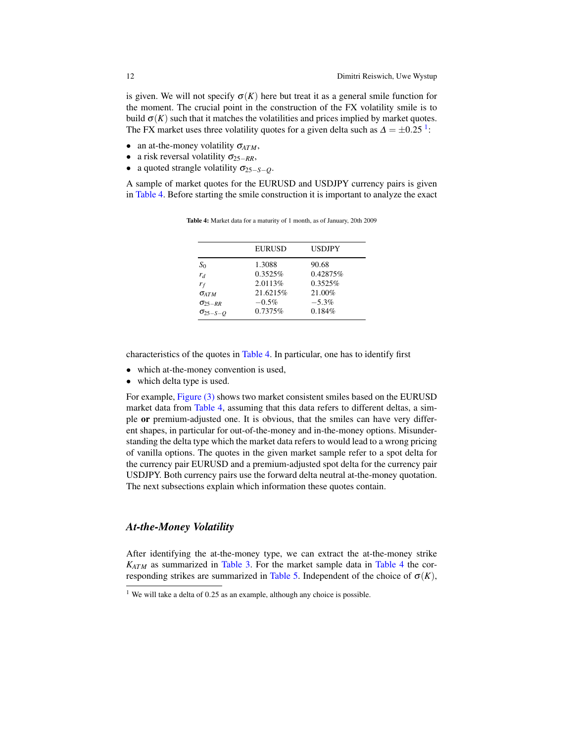is given. We will not specify  $\sigma(K)$  here but treat it as a general smile function for the moment. The crucial point in the construction of the FX volatility smile is to build  $\sigma(K)$  such that it matches the volatilities and prices implied by market quotes. The FX market uses three volatility quotes for a given delta such as  $\Delta = \pm 0.25$ <sup>[1](#page-12-0)</sup>:

- an at-the-money volatility  $\sigma_{ATM}$ ,
- a risk reversal volatility σ25−*RR*,
- a quoted strangle volatility  $\sigma_{25-S-O}$ .

<span id="page-12-1"></span>A sample of market quotes for the EURUSD and USDJPY currency pairs is given in [Table](#page-12-1) [4.](#page-12-1) Before starting the smile construction it is important to analyze the exact

|                                             | <b>EURUSD</b>                 | <b>USDJPY</b>                |
|---------------------------------------------|-------------------------------|------------------------------|
| $S_0$<br>$r_d$                              | 1.3088<br>0.3525%<br>2.0113\% | 90.68<br>0.42875%<br>0.3525% |
| $r_f$<br>$\sigma_{ATM}$<br>$\sigma_{25-RR}$ | 21.6215%<br>$-0.5\%$          | 21.00%<br>$-5.3\%$           |
| $\sigma_{25-S-O}$                           | 0.7375%                       | 0.184%                       |

Table 4: Market data for a maturity of 1 month, as of January, 20th 2009

characteristics of the quotes in [Table](#page-12-1) [4.](#page-12-1) In particular, one has to identify first

- which at-the-money convention is used,
- which delta type is used.

For example, [Figure \(3\)](#page-13-0) shows two market consistent smiles based on the EURUSD market data from [Table](#page-12-1) [4,](#page-12-1) assuming that this data refers to different deltas, a simple or premium-adjusted one. It is obvious, that the smiles can have very different shapes, in particular for out-of-the-money and in-the-money options. Misunderstanding the delta type which the market data refers to would lead to a wrong pricing of vanilla options. The quotes in the given market sample refer to a spot delta for the currency pair EURUSD and a premium-adjusted spot delta for the currency pair USDJPY. Both currency pairs use the forward delta neutral at-the-money quotation. The next subsections explain which information these quotes contain.

# *At-the-Money Volatility*

After identifying the at-the-money type, we can extract the at-the-money strike *KATM* as summarized in [Table](#page-9-0) [3.](#page-9-0) For the market sample data in [Table](#page-12-1) [4](#page-12-1) the cor-responding strikes are summarized in [Table](#page-13-1) [5.](#page-13-1) Independent of the choice of  $\sigma(K)$ ,

<span id="page-12-0"></span><sup>&</sup>lt;sup>1</sup> We will take a delta of 0.25 as an example, although any choice is possible.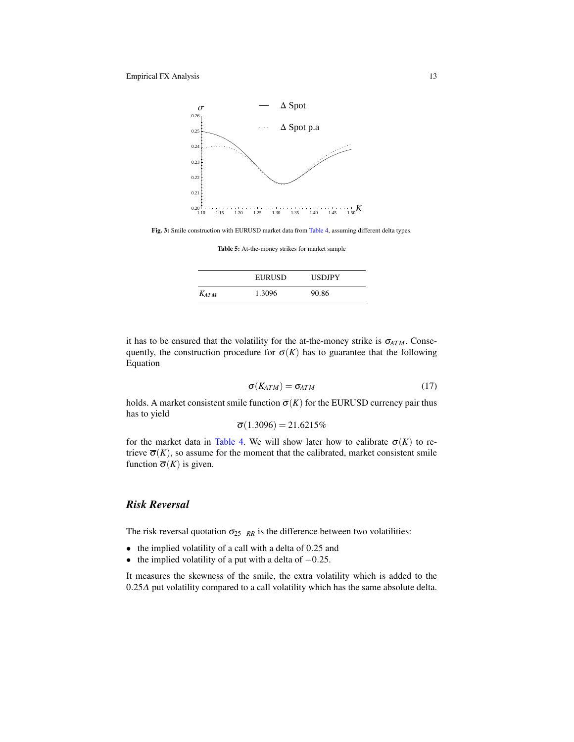<span id="page-13-0"></span>

<span id="page-13-1"></span>Fig. 3: Smile construction with EURUSD market data from [Table](#page-12-1) [4,](#page-12-1) assuming different delta types.

Table 5: At-the-money strikes for market sample

|           | EURUSD | <b>USDJPY</b> |
|-----------|--------|---------------|
| $K_{ATM}$ | 1.3096 | 90.86         |

it has to be ensured that the volatility for the at-the-money strike is  $\sigma_{ATM}$ . Consequently, the construction procedure for  $\sigma(K)$  has to guarantee that the following Equation

$$
\sigma(K_{ATM}) = \sigma_{ATM} \tag{17}
$$

holds. A market consistent smile function  $\overline{\sigma}(K)$  for the EURUSD currency pair thus has to yield

$$
\overline{\sigma}(1.3096)=21.6215\%
$$

for the market data in [Table](#page-12-1) [4.](#page-12-1) We will show later how to calibrate  $\sigma(K)$  to retrieve  $\overline{\sigma}(K)$ , so assume for the moment that the calibrated, market consistent smile function  $\overline{\sigma}(K)$  is given.

# *Risk Reversal*

The risk reversal quotation  $\sigma_{25-RR}$  is the difference between two volatilities:

- the implied volatility of a call with a delta of 0.25 and
- the implied volatility of a put with a delta of  $-0.25$ .

It measures the skewness of the smile, the extra volatility which is added to the 0.25∆ put volatility compared to a call volatility which has the same absolute delta.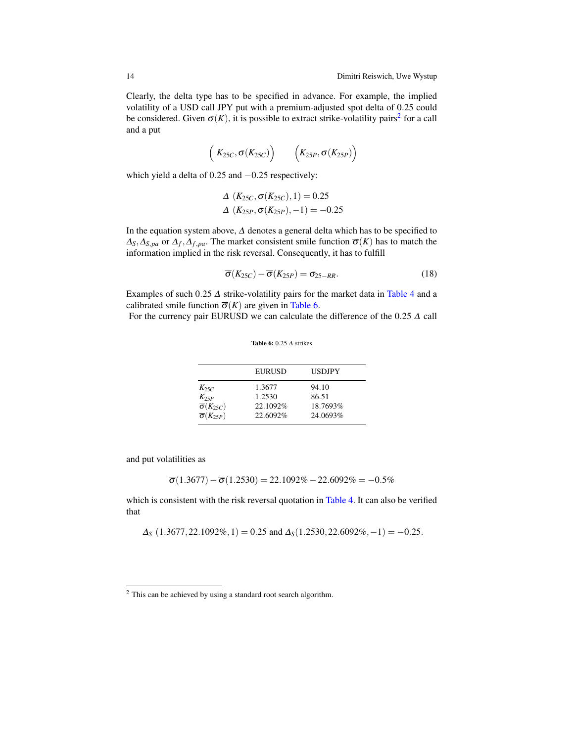Clearly, the delta type has to be specified in advance. For example, the implied volatility of a USD call JPY put with a premium-adjusted spot delta of 0.25 could be considered. Given  $\sigma(K)$ , it is possible to extract strike-volatility pairs<sup>[2](#page-14-0)</sup> for a call and a put

<span id="page-14-3"></span>
$$
\left(K_{25C},\sigma(K_{25C})\right)\qquad\left(K_{25P},\sigma(K_{25P})\right)
$$

which yield a delta of 0.25 and −0.25 respectively:

$$
\Delta (K_{25C}, \sigma(K_{25C}), 1) = 0.25
$$
  

$$
\Delta (K_{25P}, \sigma(K_{25P}), -1) = -0.25
$$

In the equation system above, ∆ denotes a general delta which has to be specified to  $\Delta_S$ ,  $\Delta_{S,pa}$  or  $\Delta_f$ ,  $\Delta_{f,pa}$ . The market consistent smile function  $\overline{\sigma}(K)$  has to match the information implied in the risk reversal. Consequently, it has to fulfill

$$
\overline{\sigma}(K_{25C}) - \overline{\sigma}(K_{25P}) = \sigma_{25-RR}.
$$
\n(18)

Examples of such 0.25  $\Delta$  strike-volatility pairs for the market data in [Table](#page-12-1) [4](#page-12-1) and a calibrated smile function  $\overline{\sigma}(K)$  are given in [Table](#page-14-1) [6.](#page-14-1)

<span id="page-14-1"></span>For the currency pair EURUSD we can calculate the difference of the  $0.25 \Delta$  call

Table 6: 0.25 ∆ strikes

EURUSD USDJPY *K*<sub>25*C*</sub> 1.3677 94.10<br> *K*<sub>25*P*</sub> 1.2530 86.51  $\begin{array}{l} K_{25P} \\ \overline{\sigma}(K_{25C}) \end{array} \qquad \qquad \begin{array}{l} 1.2530 \\ 22.1092 \% \end{array}$  $\overline{\sigma}(K_{25C})$  22.1092% 18.7693%<br>  $\overline{\sigma}(K_{25P})$  22.6092% 24.0693% σ(*K*25*P*) 22.6092% 24.0693%

and put volatilities as

$$
\overline{\sigma}(1.3677) - \overline{\sigma}(1.2530) = 22.1092\% - 22.6092\% = -0.5\%
$$

which is consistent with the risk reversal quotation in [Table](#page-12-1) [4.](#page-12-1) It can also be verified that

<span id="page-14-2"></span> $\Delta$ <sup>S</sup> (1.3677, 22.1092%, 1) = 0.25 and  $\Delta$ <sub>S</sub>(1.2530, 22.6092%, -1) = -0.25.

<span id="page-14-0"></span><sup>&</sup>lt;sup>2</sup> This can be achieved by using a standard root search algorithm.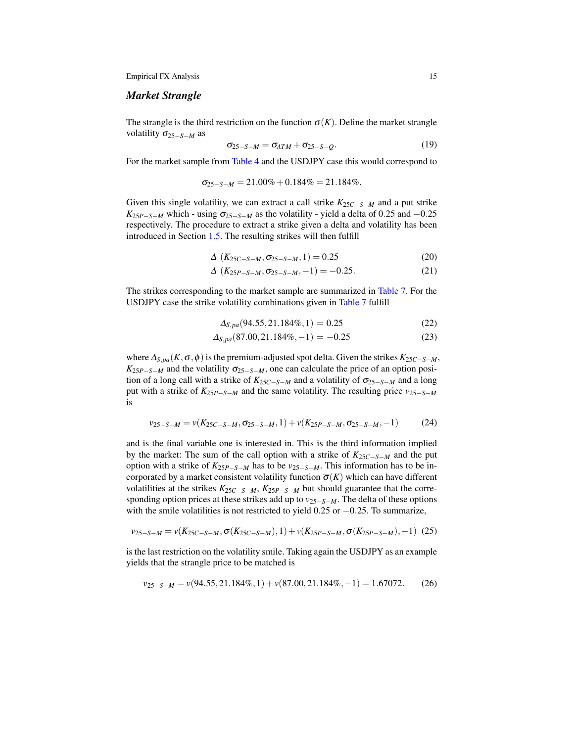### *Market Strangle*

The strangle is the third restriction on the function  $\sigma(K)$ . Define the market strangle volatility σ25−*S*−*<sup>M</sup>* as

$$
\sigma_{25-S-M} = \sigma_{ATM} + \sigma_{25-S-Q}.\tag{19}
$$

For the market sample from [Table](#page-12-1) [4](#page-12-1) and the USDJPY case this would correspond to

$$
\sigma_{25-S-M} = 21.00\% + 0.184\% = 21.184\%.
$$

Given this single volatility, we can extract a call strike *K*25*C*−*S*−*<sup>M</sup>* and a put strike  $K_{25P-S-M}$  which - using  $\sigma_{25-S-M}$  as the volatility - yield a delta of 0.25 and −0.25 respectively. The procedure to extract a strike given a delta and volatility has been introduced in Section [1.5.](#page-9-1) The resulting strikes will then fulfill

$$
\Delta\left(K_{25C-S-M}, \sigma_{25-S-M}, 1\right) = 0.25\tag{20}
$$

$$
\Delta\left(K_{25P-S-M},\sigma_{25-S-M},-1\right) = -0.25.\tag{21}
$$

The strikes corresponding to the market sample are summarized in [Table](#page-16-0) [7.](#page-16-0) For the USDJPY case the strike volatility combinations given in [Table](#page-16-0) [7](#page-16-0) fulfill

$$
\Delta_{S,pa}(94.55, 21.184\%, 1) = 0.25\tag{22}
$$

$$
\Delta_{S,pa}(87.00, 21.184\%, -1) = -0.25\tag{23}
$$

where  $\Delta_{S,pa}(K, \sigma, \phi)$  is the premium-adjusted spot delta. Given the strikes  $K_{25C-S-M}$ ,  $K_{25P-S-M}$  and the volatility  $\sigma_{25-S-M}$ , one can calculate the price of an option position of a long call with a strike of  $K_{25C-S-M}$  and a volatility of  $\sigma_{25-S-M}$  and a long put with a strike of *K*25*P*−*S*−*<sup>M</sup>* and the same volatility. The resulting price *v*25−*S*−*<sup>M</sup>* is

<span id="page-15-1"></span>
$$
v_{25-S-M} = v(K_{25C-S-M}, \sigma_{25-S-M}, 1) + v(K_{25P-S-M}, \sigma_{25-S-M}, -1)
$$
 (24)

and is the final variable one is interested in. This is the third information implied by the market: The sum of the call option with a strike of *K*25*C*−*S*−*<sup>M</sup>* and the put option with a strike of *K*25*P*−*S*−*<sup>M</sup>* has to be *v*25−*S*−*M*. This information has to be incorporated by a market consistent volatility function  $\overline{\sigma}(K)$  which can have different volatilities at the strikes *K*25*C*−*S*−*M*, *K*25*P*−*S*−*<sup>M</sup>* but should guarantee that the corresponding option prices at these strikes add up to *v*25−*S*−*M*. The delta of these options with the smile volatilities is not restricted to yield 0.25 or −0.25. To summarize,

<span id="page-15-2"></span>
$$
v_{25-S-M} = v(K_{25C-S-M}, \sigma(K_{25C-S-M}), 1) + v(K_{25P-S-M}, \sigma(K_{25P-S-M}), -1) \tag{25}
$$

is the last restriction on the volatility smile. Taking again the USDJPY as an example yields that the strangle price to be matched is

<span id="page-15-0"></span>
$$
v_{25-S-M} = v(94.55, 21.184\%, 1) + v(87.00, 21.184\%, -1) = 1.67072. \tag{26}
$$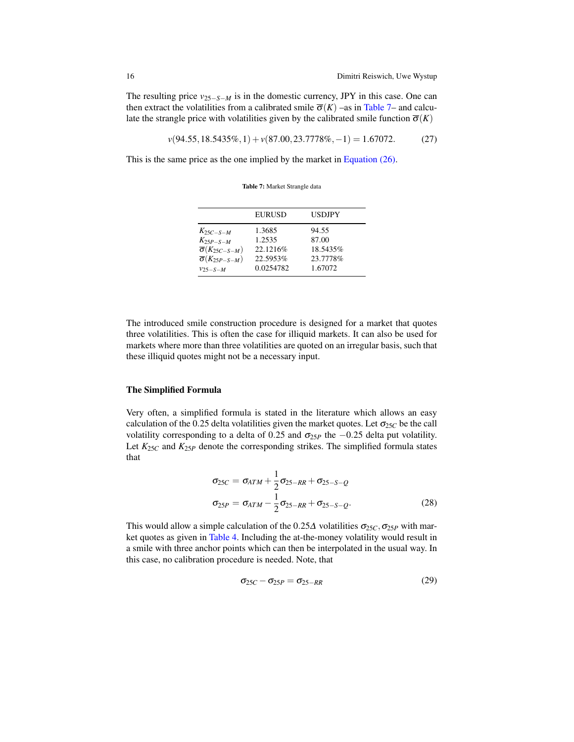The resulting price  $v_{25-S-M}$  is in the domestic currency, JPY in this case. One can then extract the volatilities from a calibrated smile  $\overline{\sigma}(K)$  –as in [Table](#page-16-0) [7–](#page-16-0) and calculate the strangle price with volatilities given by the calibrated smile function  $\overline{\sigma}(K)$ 

*v*(94.55,18.5435%,1) +*v*(87.00,23.7778%,−1) = 1.67072. (27)

<span id="page-16-0"></span>This is the same price as the one implied by the market in [Equation \(26\).](#page-15-0)

Table 7: Market Strangle data

|                                                                                                                        | <b>EURUSD</b>                                          | <b>USDJPY</b>                                     |
|------------------------------------------------------------------------------------------------------------------------|--------------------------------------------------------|---------------------------------------------------|
| $K_{25C-S-M}$<br>$K_{25P-S-M}$<br>$\overline{\sigma}(K_{25C-S-M})$<br>$\overline{\sigma}(K_{25P-S-M})$<br>$v_{25-S-M}$ | 1.3685<br>1.2535<br>22.1216\%<br>22.5953%<br>0.0254782 | 94.55<br>87.00<br>18.5435%<br>23.7778%<br>1.67072 |
|                                                                                                                        |                                                        |                                                   |

The introduced smile construction procedure is designed for a market that quotes three volatilities. This is often the case for illiquid markets. It can also be used for markets where more than three volatilities are quoted on an irregular basis, such that these illiquid quotes might not be a necessary input.

#### The Simplified Formula

Very often, a simplified formula is stated in the literature which allows an easy calculation of the 0.25 delta volatilities given the market quotes. Let  $\sigma_{25C}$  be the call volatility corresponding to a delta of 0.25 and  $\sigma_{25P}$  the  $-0.25$  delta put volatility. Let  $K_{25C}$  and  $K_{25P}$  denote the corresponding strikes. The simplified formula states that

<span id="page-16-1"></span>
$$
\sigma_{25C} = \sigma_{ATM} + \frac{1}{2}\sigma_{25-RR} + \sigma_{25-S-Q}
$$
  
\n
$$
\sigma_{25P} = \sigma_{ATM} - \frac{1}{2}\sigma_{25-RR} + \sigma_{25-S-Q}.
$$
\n(28)

This would allow a simple calculation of the 0.25 $\Delta$  volatilities  $\sigma_{25C}, \sigma_{25P}$  with market quotes as given in [Table](#page-12-1) [4.](#page-12-1) Including the at-the-money volatility would result in a smile with three anchor points which can then be interpolated in the usual way. In this case, no calibration procedure is needed. Note, that

$$
\sigma_{25C} - \sigma_{25P} = \sigma_{25-RR} \tag{29}
$$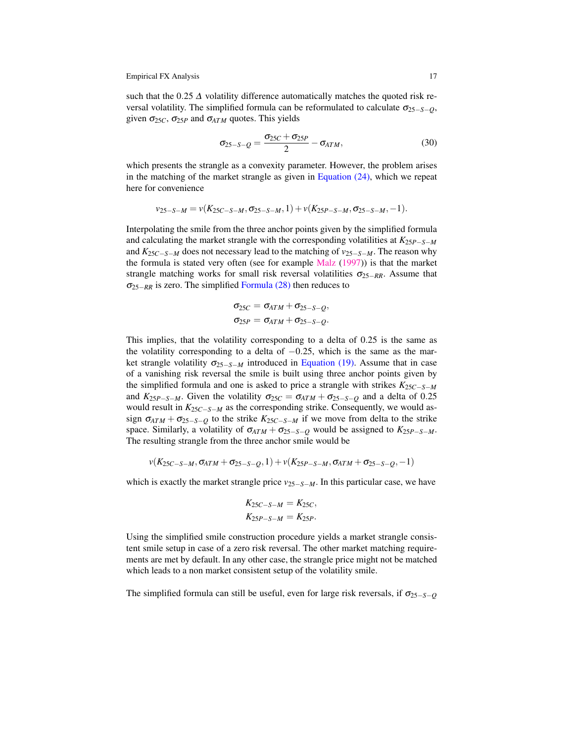such that the 0.25  $\Delta$  volatility difference automatically matches the quoted risk reversal volatility. The simplified formula can be reformulated to calculate  $\sigma_{25-S-O}$ , given  $\sigma_{25C}$ ,  $\sigma_{25P}$  and  $\sigma_{ATM}$  quotes. This yields

<span id="page-17-0"></span>
$$
\sigma_{25-S-Q} = \frac{\sigma_{25C} + \sigma_{25P}}{2} - \sigma_{ATM},\tag{30}
$$

which presents the strangle as a convexity parameter. However, the problem arises in the matching of the market strangle as given in Equation  $(24)$ , which we repeat here for convenience

$$
v_{25-S-M} = v(K_{25C-S-M}, \sigma_{25-S-M}, 1) + v(K_{25P-S-M}, \sigma_{25-S-M}, -1).
$$

Interpolating the smile from the three anchor points given by the simplified formula and calculating the market strangle with the corresponding volatilities at *K*25*P*−*S*−*<sup>M</sup>* and *K*25*C*−*S*−*<sup>M</sup>* does not necessary lead to the matching of *v*25−*S*−*M*. The reason why the formula is stated very often (see for example [Malz](#page-32-6) [\(1997\)](#page-32-6)) is that the market strangle matching works for small risk reversal volatilities  $\sigma_{25-RR}$ . Assume that σ25−*RR* is zero. The simplified [Formula \(28\)](#page-16-1) then reduces to

$$
\sigma_{25C} = \sigma_{ATM} + \sigma_{25-S-Q},
$$
  

$$
\sigma_{25P} = \sigma_{ATM} + \sigma_{25-S-Q}.
$$

This implies, that the volatility corresponding to a delta of 0.25 is the same as the volatility corresponding to a delta of  $-0.25$ , which is the same as the market strangle volatility  $\sigma_{25-S-M}$  introduced in [Equation \(19\).](#page-14-2) Assume that in case of a vanishing risk reversal the smile is built using three anchor points given by the simplified formula and one is asked to price a strangle with strikes *K*25*C*−*S*−*<sup>M</sup>* and  $K_{25P-S-M}$ . Given the volatility  $\sigma_{25C} = \sigma_{ATM} + \sigma_{25-S-Q}$  and a delta of 0.25 would result in *K*25*C*−*S*−*<sup>M</sup>* as the corresponding strike. Consequently, we would assign  $\sigma_{ATM} + \sigma_{25-S-Q}$  to the strike  $K_{25C-S-M}$  if we move from delta to the strike space. Similarly, a volatility of  $\sigma_{ATM} + \sigma_{25-S-Q}$  would be assigned to  $K_{25P-S-M}$ . The resulting strangle from the three anchor smile would be

$$
v(K_{25C-S-M}, \sigma_{ATM} + \sigma_{25-S-Q}, 1) + v(K_{25P-S-M}, \sigma_{ATM} + \sigma_{25-S-Q}, -1)
$$

which is exactly the market strangle price  $v_{25-S-M}$ . In this particular case, we have

$$
K_{25C-S-M} = K_{25C},
$$
  

$$
K_{25P-S-M} = K_{25P}.
$$

Using the simplified smile construction procedure yields a market strangle consistent smile setup in case of a zero risk reversal. The other market matching requirements are met by default. In any other case, the strangle price might not be matched which leads to a non market consistent setup of the volatility smile.

The simplified formula can still be useful, even for large risk reversals, if  $\sigma_{25-S-O}$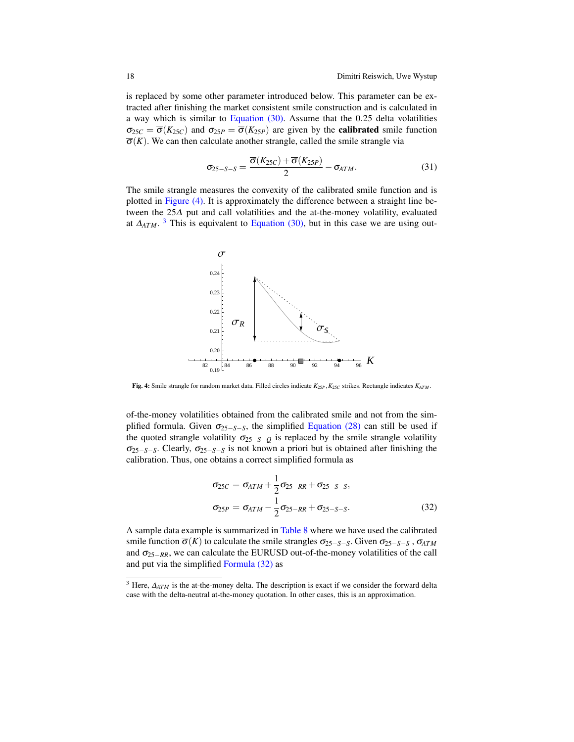is replaced by some other parameter introduced below. This parameter can be extracted after finishing the market consistent smile construction and is calculated in a way which is similar to Equation  $(30)$ . Assume that the 0.25 delta volatilities  $\sigma_{25C} = \overline{\sigma}(K_{25C})$  and  $\sigma_{25P} = \overline{\sigma}(K_{25P})$  are given by the **calibrated** smile function  $\overline{\sigma}(K)$ . We can then calculate another strangle, called the smile strangle via

$$
\sigma_{25-S-S} = \frac{\overline{\sigma}(K_{25C}) + \overline{\sigma}(K_{25P})}{2} - \sigma_{ATM}.
$$
\n(31)

The smile strangle measures the convexity of the calibrated smile function and is plotted in [Figure \(4\).](#page-18-0) It is approximately the difference between a straight line between the 25∆ put and call volatilities and the at-the-money volatility, evaluated at  $\Delta_{ATM}$ .<sup>[3](#page-18-1)</sup> This is equivalent to [Equation \(30\),](#page-17-0) but in this case we are using out-

<span id="page-18-0"></span>

Fig. 4: Smile strangle for random market data. Filled circles indicate *K*25*P*,*K*25*<sup>C</sup>* strikes. Rectangle indicates *KATM* .

of-the-money volatilities obtained from the calibrated smile and not from the simplified formula. Given  $\sigma_{25-S-S}$ , the simplified [Equation \(28\)](#page-16-1) can still be used if the quoted strangle volatility  $\sigma_{25-S-Q}$  is replaced by the smile strangle volatility  $\sigma_{25-S-S}$ . Clearly,  $\sigma_{25-S-S}$  is not known a priori but is obtained after finishing the calibration. Thus, one obtains a correct simplified formula as

<span id="page-18-2"></span>
$$
\sigma_{25C} = \sigma_{ATM} + \frac{1}{2}\sigma_{25-RR} + \sigma_{25-S-S},
$$
  
\n
$$
\sigma_{25P} = \sigma_{ATM} - \frac{1}{2}\sigma_{25-RR} + \sigma_{25-S-S}.
$$
\n(32)

A sample data example is summarized in [Table](#page-19-0) [8](#page-19-0) where we have used the calibrated smile function  $\overline{\sigma}(K)$  to calculate the smile strangles  $\sigma_{25-S-S}$ . Given  $\sigma_{25-S-S}$ ,  $\sigma_{ATM}$ and  $\sigma_{25-RR}$ , we can calculate the EURUSD out-of-the-money volatilities of the call and put via the simplified [Formula \(32\)](#page-18-2) as

<span id="page-18-1"></span><sup>&</sup>lt;sup>3</sup> Here,  $\Delta_{ATM}$  is the at-the-money delta. The description is exact if we consider the forward delta case with the delta-neutral at-the-money quotation. In other cases, this is an approximation.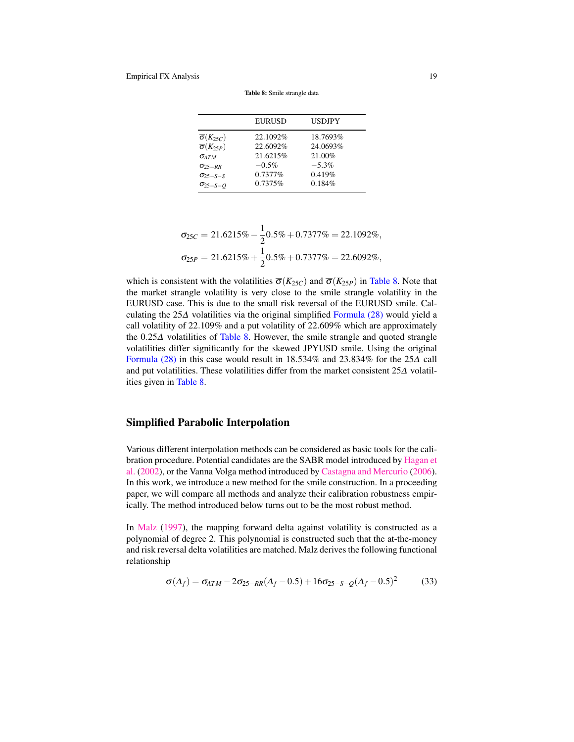<span id="page-19-0"></span>

|                                                              | <b>EURUSD</b>        | <b>USDJPY</b>        |
|--------------------------------------------------------------|----------------------|----------------------|
| $\overline{\sigma}(K_{25C})$<br>$\overline{\sigma}(K_{25P})$ | 22.1092%<br>22.6092% | 18.7693%<br>24.0693% |
| $\sigma$ ATM                                                 | 21.6215%<br>$-0.5\%$ | 21.00%<br>$-5.3\%$   |
| $\sigma_{25-RR}$<br>$\sigma_{25-S-S}$                        | $0.7377\%$           | 0.419%               |
| $\sigma_{25-S-O}$                                            | 0.7375%              | 0.184%               |

Table 8: Smile strangle data

$$
\sigma_{25C} = 21.6215\% - \frac{1}{2}0.5\% + 0.7377\% = 22.1092\%,
$$
  

$$
\sigma_{25P} = 21.6215\% + \frac{1}{2}0.5\% + 0.7377\% = 22.6092\%,
$$

which is consistent with the volatilities  $\overline{\sigma}(K_{25C})$  and  $\overline{\sigma}(K_{25P})$  in [Table](#page-19-0) [8.](#page-19-0) Note that the market strangle volatility is very close to the smile strangle volatility in the EURUSD case. This is due to the small risk reversal of the EURUSD smile. Calculating the 25∆ volatilities via the original simplified [Formula \(28\)](#page-16-1) would yield a call volatility of 22.109% and a put volatility of 22.609% which are approximately the 0.25∆ volatilities of [Table](#page-19-0) [8.](#page-19-0) However, the smile strangle and quoted strangle volatilities differ significantly for the skewed JPYUSD smile. Using the original [Formula \(28\)](#page-16-1) in this case would result in 18.534% and 23.834% for the 25∆ call and put volatilities. These volatilities differ from the market consistent 25∆ volatilities given in [Table](#page-19-0) [8.](#page-19-0)

# Simplified Parabolic Interpolation

Various different interpolation methods can be considered as basic tools for the calibration procedure. Potential candidates are the SABR model introduced by [Hagan et](#page-32-7) [al.](#page-32-7) [\(2002\)](#page-32-7), or the Vanna Volga method introduced by [Castagna and Mercurio](#page-32-8) [\(2006\)](#page-32-8). In this work, we introduce a new method for the smile construction. In a proceeding paper, we will compare all methods and analyze their calibration robustness empirically. The method introduced below turns out to be the most robust method.

In [Malz](#page-32-6) [\(1997\)](#page-32-6), the mapping forward delta against volatility is constructed as a polynomial of degree 2. This polynomial is constructed such that the at-the-money and risk reversal delta volatilities are matched. Malz derives the following functional relationship

$$
\sigma(\Delta_f) = \sigma_{ATM} - 2\sigma_{25-RR}(\Delta_f - 0.5) + 16\sigma_{25-S-Q}(\Delta_f - 0.5)^2
$$
 (33)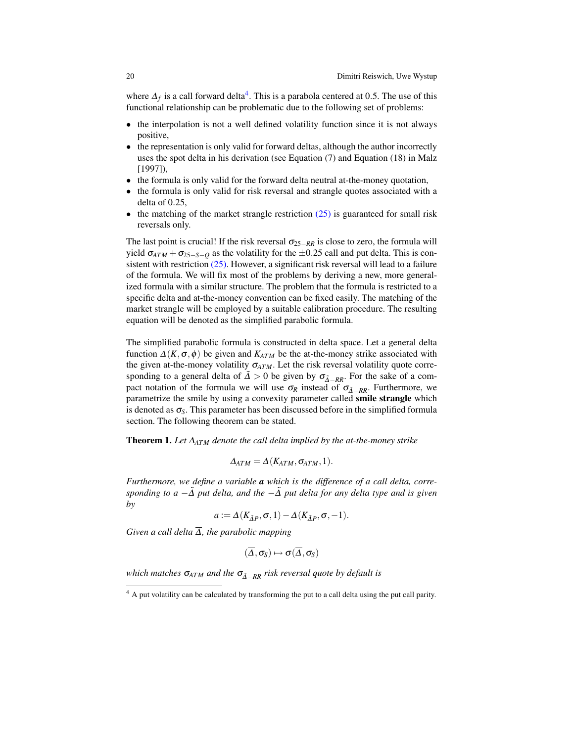where  $\Delta_f$  is a call forward delta<sup>[4](#page-20-0)</sup>. This is a parabola centered at 0.5. The use of this functional relationship can be problematic due to the following set of problems:

- the interpolation is not a well defined volatility function since it is not always positive,
- the representation is only valid for forward deltas, although the author incorrectly uses the spot delta in his derivation (see Equation (7) and Equation (18) in Malz [1997]),
- the formula is only valid for the forward delta neutral at-the-money quotation,
- the formula is only valid for risk reversal and strangle quotes associated with a delta of 0.25,
- the matching of the market strangle restriction  $(25)$  is guaranteed for small risk reversals only.

The last point is crucial! If the risk reversal  $\sigma_{25-RR}$  is close to zero, the formula will yield  $\sigma_{ATM} + \sigma_{25-S-O}$  as the volatility for the  $\pm 0.25$  call and put delta. This is consistent with restriction [\(25\).](#page-15-2) However, a significant risk reversal will lead to a failure of the formula. We will fix most of the problems by deriving a new, more generalized formula with a similar structure. The problem that the formula is restricted to a specific delta and at-the-money convention can be fixed easily. The matching of the market strangle will be employed by a suitable calibration procedure. The resulting equation will be denoted as the simplified parabolic formula.

The simplified parabolic formula is constructed in delta space. Let a general delta function  $\Delta(K, \sigma, \phi)$  be given and  $K_{ATM}$  be the at-the-money strike associated with the given at-the-money volatility  $\sigma_{ATM}$ . Let the risk reversal volatility quote corresponding to a general delta of  $\overline{\Delta} > 0$  be given by  $\sigma_{\overline{\Delta}-RR}$ . For the sake of a compact notation of the formula we will use  $\sigma_R$  instead of  $\sigma_{\tilde{\Delta}-RR}$ . Furthermore, we parametrize the smile by using a convexity parameter called smile strangle which is denoted as  $\sigma_{S}$ . This parameter has been discussed before in the simplified formula section. The following theorem can be stated.

Theorem 1. *Let* ∆*ATM denote the call delta implied by the at-the-money strike*

$$
\Delta_{ATM} = \Delta(K_{ATM}, \sigma_{ATM}, 1).
$$

*Furthermore, we define a variable a which is the difference of a call delta, corresponding to a* −∆˜ *put delta, and the* −∆˜ *put delta for any delta type and is given by*

$$
a := \Delta(K_{\tilde{\Delta}P}, \sigma, 1) - \Delta(K_{\tilde{\Delta}P}, \sigma, -1).
$$

*Given a call delta*  $\overline{\Delta}$ *, the parabolic mapping* 

$$
(\overline{\Delta},\sigma_S)\mapsto \sigma(\overline{\Delta},\sigma_S)
$$

*which matches*  $\sigma_{ATM}$  *and the*  $\sigma_{\tilde{\Delta}-RR}$  *risk reversal quote by default is* 

<span id="page-20-0"></span><sup>&</sup>lt;sup>4</sup> A put volatility can be calculated by transforming the put to a call delta using the put call parity.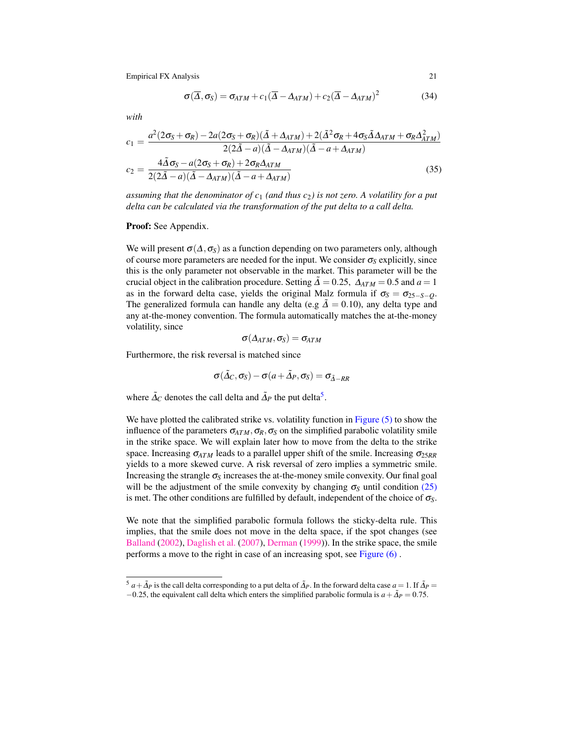<span id="page-21-1"></span>
$$
\sigma(\overline{\Delta}, \sigma_S) = \sigma_{ATM} + c_1(\overline{\Delta} - \Delta_{ATM}) + c_2(\overline{\Delta} - \Delta_{ATM})^2
$$
(34)

*with*

<span id="page-21-2"></span>
$$
c_1 = \frac{a^2(2\sigma_S + \sigma_R) - 2a(2\sigma_S + \sigma_R)(\tilde{\Delta} + \Delta_{ATM}) + 2(\tilde{\Delta}^2 \sigma_R + 4\sigma_S \tilde{\Delta}\Delta_{ATM} + \sigma_R \Delta_{ATM}^2)}{2(2\tilde{\Delta} - a)(\tilde{\Delta} - \Delta_{ATM})(\tilde{\Delta} - a + \Delta_{ATM})}
$$
  
\n
$$
c_2 = \frac{4\tilde{\Delta}\sigma_S - a(2\sigma_S + \sigma_R) + 2\sigma_R \Delta_{ATM}}{2(2\tilde{\Delta} - a)(\tilde{\Delta} - \Delta_{ATM})(\tilde{\Delta} - a + \Delta_{ATM})}
$$
(35)

*assuming that the denominator of c<sub>1</sub> (and thus c<sub>2</sub>) is not zero. A volatility for a put delta can be calculated via the transformation of the put delta to a call delta.*

Proof: See Appendix.

We will present  $\sigma(\Delta, \sigma_s)$  as a function depending on two parameters only, although of course more parameters are needed for the input. We consider  $\sigma_s$  explicitly, since this is the only parameter not observable in the market. This parameter will be the crucial object in the calibration procedure. Setting  $\tilde{\Delta} = 0.25$ ,  $\Delta_{ATM} = 0.5$  and  $a = 1$ as in the forward delta case, yields the original Malz formula if  $\sigma_s = \sigma_{25-S-O}$ . The generalized formula can handle any delta (e.g  $\tilde{\Delta} = 0.10$ ), any delta type and any at-the-money convention. The formula automatically matches the at-the-money volatility, since

$$
\sigma(\varDelta_{ATM},\sigma_S)=\sigma_{ATM}
$$

Furthermore, the risk reversal is matched since

$$
\sigma(\tilde{\Delta}_{C}, \sigma_{S}) - \sigma(a + \tilde{\Delta}_{P}, \sigma_{S}) = \sigma_{\tilde{\Delta} - RR}
$$

where  $\tilde{\Delta}_{C}$  denotes the call delta and  $\tilde{\Delta}_{P}$  the put delta<sup>[5](#page-21-0)</sup>.

We have plotted the calibrated strike vs. volatility function in [Figure \(5\)](#page-22-0) to show the influence of the parameters  $\sigma_{ATM}$ ,  $\sigma_R$ ,  $\sigma_S$  on the simplified parabolic volatility smile in the strike space. We will explain later how to move from the delta to the strike space. Increasing  $σ_{ATM}$  leads to a parallel upper shift of the smile. Increasing  $σ_{25RR}$ yields to a more skewed curve. A risk reversal of zero implies a symmetric smile. Increasing the strangle  $\sigma_S$  increases the at-the-money smile convexity. Our final goal will be the adjustment of the smile convexity by changing  $\sigma_s$  until condition [\(25\)](#page-15-2) is met. The other conditions are fulfilled by default, independent of the choice of  $\sigma_s$ .

We note that the simplified parabolic formula follows the sticky-delta rule. This implies, that the smile does not move in the delta space, if the spot changes (see [Balland](#page-31-1) [\(2002\)](#page-31-1), [Daglish et al.](#page-32-9) [\(2007\)](#page-32-9), [Derman](#page-32-10) [\(1999\)](#page-32-10)). In the strike space, the smile performs a move to the right in case of an increasing spot, see [Figure \(6\)](#page-22-1) .

<span id="page-21-0"></span> $^5 a + \tilde{A}_P$  is the call delta corresponding to a put delta of  $\tilde{A}_P$ . In the forward delta case  $a = 1$ . If  $\tilde{A}_P =$  $-0.25$ , the equivalent call delta which enters the simplified parabolic formula is  $a + \tilde{A}_P = 0.75$ .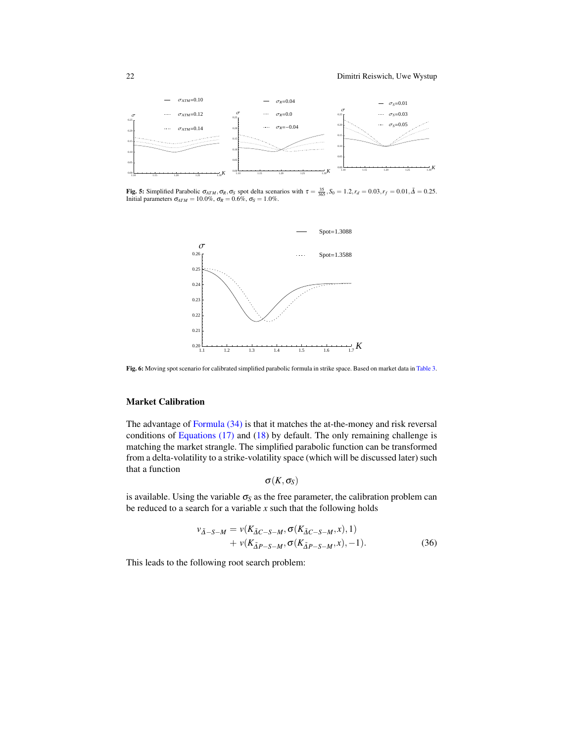<span id="page-22-0"></span>

<span id="page-22-1"></span>**Fig. 5:** Simplified Parabolic  $\sigma_{ATM}$ ,  $\sigma_R$ ,  $\sigma_S$  spot delta scenarios with  $\tau = \frac{35}{365}$ ,  $S_0 = 1.2$ ,  $r_d = 0.03$ ,  $r_f = 0.01$ ,  $\tilde{\Delta} = 0.25$ .<br>Initial parameters  $\sigma_{ATM} = 10.0\%$ ,  $\sigma_R = 0.6\%$ ,  $\sigma_S = 1.0\%$ .



Fig. 6: Moving spot scenario for calibrated simplified parabolic formula in strike space. Based on market data in [Table](#page-9-0) [3.](#page-9-0)

# Market Calibration

The advantage of [Formula \(34\)](#page-21-1) is that it matches the at-the-money and risk reversal conditions of Equations  $(17)$  and  $(18)$  by default. The only remaining challenge is matching the market strangle. The simplified parabolic function can be transformed from a delta-volatility to a strike-volatility space (which will be discussed later) such that a function

$$
\sigma(K,\sigma_S)
$$

is available. Using the variable  $\sigma_S$  as the free parameter, the calibration problem can be reduced to a search for a variable  $x$  such that the following holds

<span id="page-22-2"></span>
$$
\nu_{\tilde{\Delta}-S-M} = \nu(K_{\tilde{\Delta}C-S-M}, \sigma(K_{\tilde{\Delta}C-S-M}, x), 1) + \nu(K_{\tilde{\Delta}P-S-M}, \sigma(K_{\tilde{\Delta}P-S-M}, x), -1).
$$
 (36)

This leads to the following root search problem: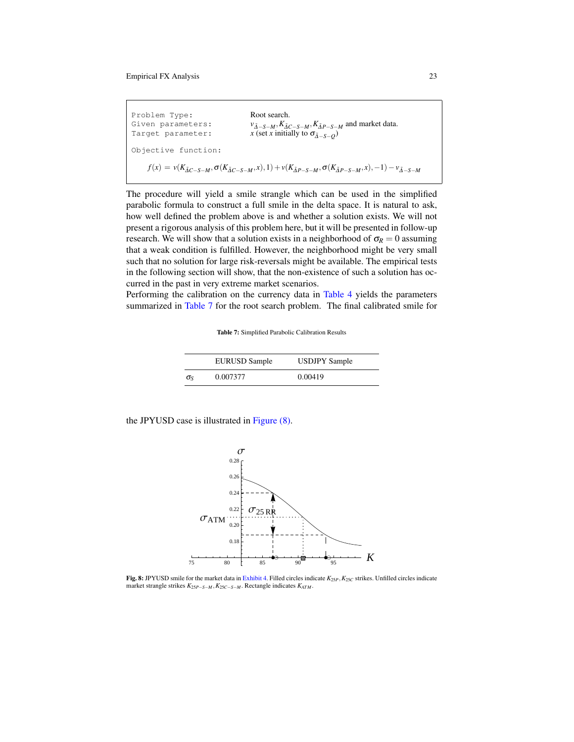| Problem Type:<br>Given parameters:<br>Target parameter: | Root search.<br>$v_{\tilde{\Delta}-S-M}, K_{\tilde{\Delta}C-S-M}, K_{\tilde{\Delta}P-S-M}$ and market data.<br>x (set x initially to $\sigma_{\tilde{\Lambda}-S-O}$ ) |
|---------------------------------------------------------|-----------------------------------------------------------------------------------------------------------------------------------------------------------------------|
| Objective function:                                     |                                                                                                                                                                       |
|                                                         | $f(x) = v(K_{\tilde{A}C-S-M}, \sigma(K_{\tilde{A}C-S-M}, x), 1) + v(K_{\tilde{A}P-S-M}, \sigma(K_{\tilde{A}P-S-M}, x), -1) - v_{\tilde{A}-S-M}$                       |

<span id="page-23-2"></span>The procedure will yield a smile strangle which can be used in the simplified parabolic formula to construct a full smile in the delta space. It is natural to ask, how well defined the problem above is and whether a solution exists. We will not present a rigorous analysis of this problem here, but it will be presented in follow-up research. We will show that a solution exists in a neighborhood of  $\sigma_R = 0$  assuming that a weak condition is fulfilled. However, the neighborhood might be very small such that no solution for large risk-reversals might be available. The empirical tests in the following section will show, that the non-existence of such a solution has occurred in the past in very extreme market scenarios.

<span id="page-23-0"></span>Performing the calibration on the currency data in [Table](#page-12-1) [4](#page-12-1) yields the parameters summarized in [Table](#page-23-0) [7](#page-23-0) for the root search problem. The final calibrated smile for

Table 7: Simplified Parabolic Calibration Results

|              | <b>EURUSD Sample</b> | <b>USDJPY Sample</b> |
|--------------|----------------------|----------------------|
| $\sigma_{S}$ | 0.007377             | 0.00419              |

<span id="page-23-1"></span>the JPYUSD case is illustrated in [Figure \(8\).](#page-23-1)



Fig. 8: JPYUSD smile for the market data in [Exhibit](#page-12-1) [4.](#page-12-1) Filled circles indicate  $K_{25P}$ ,  $K_{25C}$  strikes. Unfilled circles indicate market strangle strikes *K*25*P*−*S*−*<sup>M</sup>* ,*K*25*C*−*S*−*<sup>M</sup>* . Rectangle indicates *KATM* .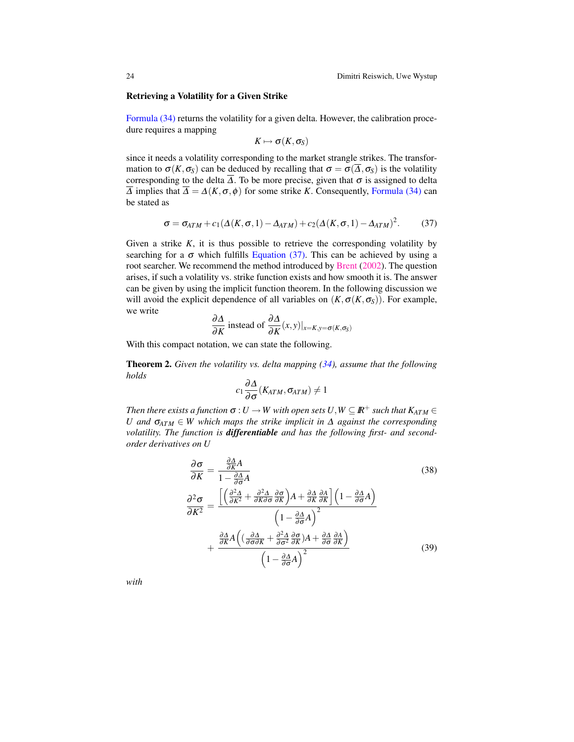#### Retrieving a Volatility for a Given Strike

[Formula \(34\)](#page-21-1) returns the volatility for a given delta. However, the calibration procedure requires a mapping

$$
K\mapsto \sigma(K,\sigma_S)
$$

since it needs a volatility corresponding to the market strangle strikes. The transformation to  $\sigma(K,\sigma_S)$  can be deduced by recalling that  $\sigma = \sigma(\overline{\Delta},\sigma_S)$  is the volatility corresponding to the delta  $\Delta$ . To be more precise, given that  $\sigma$  is assigned to delta  $\overline{\Delta}$  implies that  $\overline{\Delta} = \Delta(K, \sigma, \phi)$  for some strike *K*. Consequently, [Formula \(34\)](#page-21-1) can be stated as

$$
\sigma = \sigma_{ATM} + c_1(\Delta(K, \sigma, 1) - \Delta_{ATM}) + c_2(\Delta(K, \sigma, 1) - \Delta_{ATM})^2. \tag{37}
$$

Given a strike  $K$ , it is thus possible to retrieve the corresponding volatility by searching for a  $\sigma$  which fulfills [Equation \(37\).](#page-23-2) This can be achieved by using a root searcher. We recommend the method introduced by [Brent](#page-32-5) [\(2002\)](#page-32-5). The question arises, if such a volatility vs. strike function exists and how smooth it is. The answer can be given by using the implicit function theorem. In the following discussion we will avoid the explicit dependence of all variables on  $(K, \sigma(K, \sigma_S))$ . For example, we write

$$
\frac{\partial \Delta}{\partial K}
$$
 instead of  $\frac{\partial \Delta}{\partial K}(x, y)|_{x = K, y = \sigma(K, \sigma_S)}$ 

With this compact notation, we can state the following.

Theorem 2. *Given the volatility vs. delta mapping [\(34\)](#page-21-1), assume that the following holds*

$$
c_1\frac{\partial\Delta}{\partial\sigma}(K_{ATM},\sigma_{ATM})\neq 1
$$

*Then there exists a function*  $\sigma: U \to W$  with open sets  $U, W \subseteq \mathbb{R}^+$  such that  $K_{ATM} \in$ *U* and  $\sigma_{ATM} \in W$  which maps the strike implicit in  $\Delta$  against the corresponding *volatility. The function is differentiable and has the following first- and secondorder derivatives on U*

<span id="page-24-0"></span>
$$
\frac{\partial \sigma}{\partial K} = \frac{\frac{\partial \Delta}{\partial K} A}{1 - \frac{\partial \Delta}{\partial \sigma} A}
$$
(38)  

$$
\frac{\partial^2 \sigma}{\partial K^2} = \frac{\left[ \left( \frac{\partial^2 \Delta}{\partial K^2} + \frac{\partial^2 \Delta}{\partial K \partial \sigma} \frac{\partial \sigma}{\partial K} \right) A + \frac{\partial \Delta}{\partial K} \frac{\partial A}{\partial K} \right] \left( 1 - \frac{\partial \Delta}{\partial \sigma} A \right)}{\left( 1 - \frac{\partial \Delta}{\partial \sigma} A \right)^2} + \frac{\frac{\partial \Delta}{\partial K} A \left( \left( \frac{\partial \Delta}{\partial \sigma \partial K} + \frac{\partial^2 \Delta}{\partial \sigma^2} \frac{\partial \sigma}{\partial K} \right) A + \frac{\partial \Delta}{\partial \sigma} \frac{\partial A}{\partial K} \right)}{\left( 1 - \frac{\partial \Delta}{\partial \sigma} A \right)^2}
$$
(39)

*with*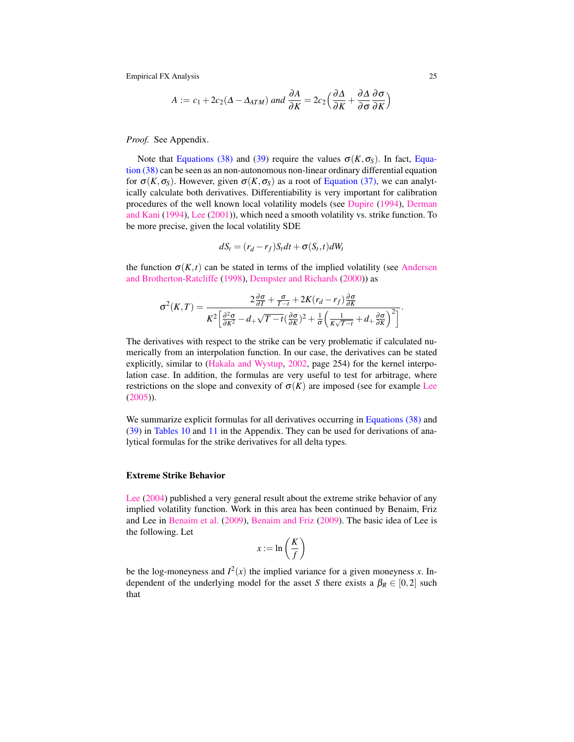$$
A := c_1 + 2c_2(\Delta - \Delta_{ATM}) \text{ and } \frac{\partial A}{\partial K} = 2c_2\Big(\frac{\partial \Delta}{\partial K} + \frac{\partial \Delta}{\partial \sigma}\frac{\partial \sigma}{\partial K}\Big)
$$

*Proof.* See Appendix.

Note that [Equations \(38\)](#page-24-0) and [\(39\)](#page-24-0) require the values  $\sigma(K, \sigma_S)$ . In fact, [Equa](#page-24-0)[tion \(38\)](#page-24-0) can be seen as an non-autonomous non-linear ordinary differential equation for  $\sigma(K, \sigma_S)$ . However, given  $\sigma(K, \sigma_S)$  as a root of [Equation \(37\),](#page-23-2) we can analytically calculate both derivatives. Differentiability is very important for calibration procedures of the well known local volatility models (see [Dupire](#page-32-11) [\(1994\)](#page-32-11), [Derman](#page-32-12) [and Kani](#page-32-12) [\(1994\)](#page-32-12), [Lee](#page-32-13) [\(2001\)](#page-32-13)), which need a smooth volatility vs. strike function. To be more precise, given the local volatility SDE

$$
dS_t = (r_d - r_f)S_t dt + \sigma(S_t, t) dW_t
$$

the function  $\sigma(K,t)$  can be stated in terms of the implied volatility (see [Andersen](#page-31-2) [and Brotherton-Ratcliffe](#page-31-2) [\(1998\)](#page-31-2), [Dempster and Richards](#page-32-14) [\(2000\)](#page-32-14)) as

$$
\sigma^{2}(K,T) = \frac{2\frac{\partial\sigma}{\partial T} + \frac{\sigma}{T-t} + 2K(r_d - r_f)\frac{\partial\sigma}{\partial K}}{K^2 \left[\frac{\partial^2\sigma}{\partial K^2} - d + \sqrt{T-t}(\frac{\partial\sigma}{\partial K})^2 + \frac{1}{\sigma}\left(\frac{1}{K\sqrt{T-t}} + d + \frac{\partial\sigma}{\partial K}\right)^2\right]}.
$$

The derivatives with respect to the strike can be very problematic if calculated numerically from an interpolation function. In our case, the derivatives can be stated explicitly, similar to [\(Hakala and Wystup,](#page-32-15) [2002,](#page-32-15) page 254) for the kernel interpolation case. In addition, the formulas are very useful to test for arbitrage, where restrictions on the slope and convexity of  $\sigma(K)$  are imposed (see for example [Lee](#page-32-16) [\(2005\)](#page-32-16)).

We summarize explicit formulas for all derivatives occurring in [Equations \(38\)](#page-24-0) and [\(39\)](#page-24-0) in [Tables](#page-31-3) [10](#page-31-3) and [11](#page-31-4) in the Appendix. They can be used for derivations of analytical formulas for the strike derivatives for all delta types.

## Extreme Strike Behavior

[Lee](#page-32-17) [\(2004\)](#page-32-17) published a very general result about the extreme strike behavior of any implied volatility function. Work in this area has been continued by Benaim, Friz and Lee in [Benaim et al.](#page-32-18) [\(2009\)](#page-32-18), [Benaim and Friz](#page-32-19) [\(2009\)](#page-32-19). The basic idea of Lee is the following. Let

$$
x := \ln\left(\frac{K}{f}\right)
$$

be the log-moneyness and  $I^2(x)$  the implied variance for a given moneyness *x*. Independent of the underlying model for the asset *S* there exists a  $\beta_R \in [0,2]$  such that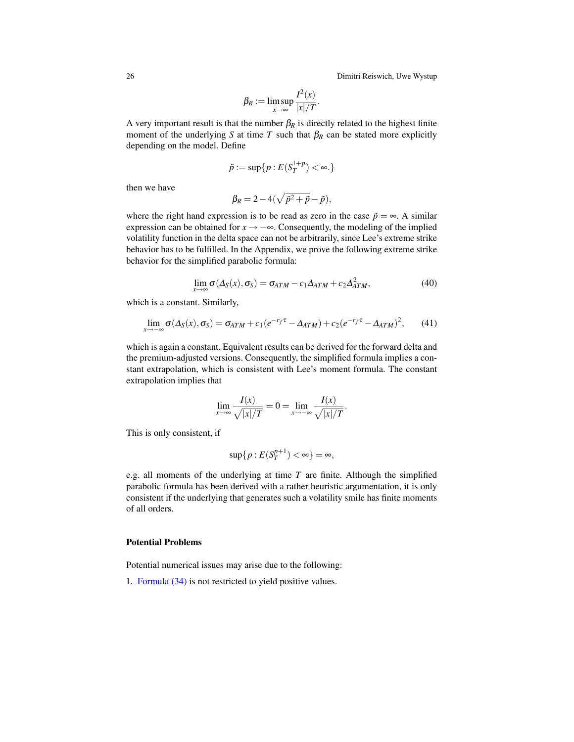26 Dimitri Reiswich, Uwe Wystup

$$
\beta_R := \limsup_{x \to \infty} \frac{I^2(x)}{|x|/T}.
$$

A very important result is that the number  $\beta_R$  is directly related to the highest finite moment of the underlying *S* at time *T* such that  $\beta_R$  can be stated more explicitly depending on the model. Define

$$
\tilde{p}:=\sup\{p: E(S_T^{1+p})<\infty.\}
$$

then we have

$$
\beta_R = 2 - 4(\sqrt{\tilde{p}^2 + \tilde{p}} - \tilde{p}),
$$

where the right hand expression is to be read as zero in the case  $\tilde{p} = \infty$ . A similar expression can be obtained for  $x \rightarrow -\infty$ . Consequently, the modeling of the implied volatility function in the delta space can not be arbitrarily, since Lee's extreme strike behavior has to be fulfilled. In the Appendix, we prove the following extreme strike behavior for the simplified parabolic formula:

$$
\lim_{x \to \infty} \sigma(\Delta_S(x), \sigma_S) = \sigma_{ATM} - c_1 \Delta_{ATM} + c_2 \Delta_{ATM}^2,
$$
\n(40)

which is a constant. Similarly,

$$
\lim_{x \to -\infty} \sigma(\Delta_S(x), \sigma_S) = \sigma_{ATM} + c_1 (e^{-r_f \tau} - \Delta_{ATM}) + c_2 (e^{-r_f \tau} - \Delta_{ATM})^2, \qquad (41)
$$

which is again a constant. Equivalent results can be derived for the forward delta and the premium-adjusted versions. Consequently, the simplified formula implies a constant extrapolation, which is consistent with Lee's moment formula. The constant extrapolation implies that

$$
\lim_{x \to \infty} \frac{I(x)}{\sqrt{|x|/T}} = 0 = \lim_{x \to -\infty} \frac{I(x)}{\sqrt{|x|/T}}.
$$

This is only consistent, if

$$
\sup\{p: E(S_T^{p+1}) < \infty\} = \infty
$$

e.g. all moments of the underlying at time *T* are finite. Although the simplified parabolic formula has been derived with a rather heuristic argumentation, it is only consistent if the underlying that generates such a volatility smile has finite moments of all orders.

## Potential Problems

Potential numerical issues may arise due to the following:

1. [Formula \(34\)](#page-21-1) is not restricted to yield positive values.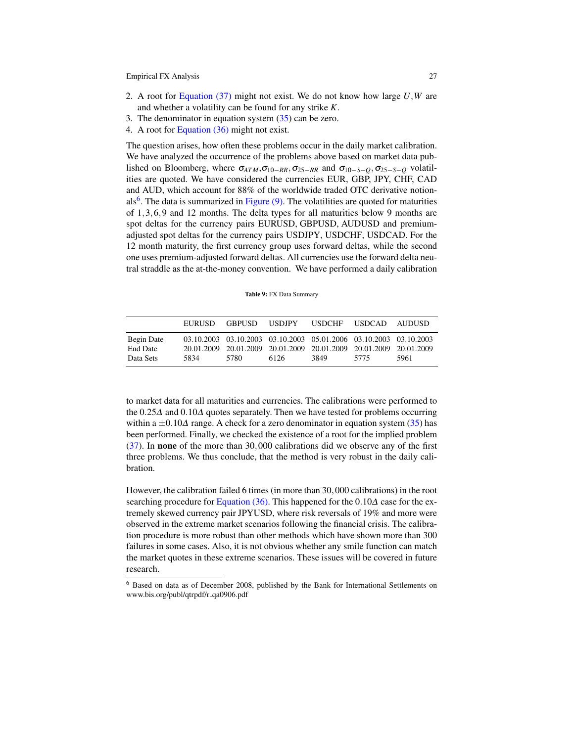- 2. A root for [Equation \(37\)](#page-23-2) might not exist. We do not know how large *U*,*W* are and whether a volatility can be found for any strike *K*.
- 3. The denominator in equation system  $(35)$  can be zero.
- 4. A root for [Equation \(36\)](#page-22-2) might not exist.

The question arises, how often these problems occur in the daily market calibration. We have analyzed the occurrence of the problems above based on market data published on Bloomberg, where  $\sigma_{ATM}$ , $\sigma_{10-RR}$ ,  $\sigma_{25-RR}$  and  $\sigma_{10-S-O}$ ,  $\sigma_{25-S-O}$  volatilities are quoted. We have considered the currencies EUR, GBP, JPY, CHF, CAD and AUD, which account for 88% of the worldwide traded OTC derivative notion-als<sup>[6](#page-27-0)</sup>. The data is summarized in [Figure \(9\).](#page-27-1) The volatilities are quoted for maturities of 1,3,6,9 and 12 months. The delta types for all maturities below 9 months are spot deltas for the currency pairs EURUSD, GBPUSD, AUDUSD and premiumadjusted spot deltas for the currency pairs USDJPY, USDCHF, USDCAD. For the 12 month maturity, the first currency group uses forward deltas, while the second one uses premium-adjusted forward deltas. All currencies use the forward delta neutral straddle as the at-the-money convention. We have performed a daily calibration

| Table 9: FX Data Summary |
|--------------------------|
|                          |

<span id="page-27-1"></span>

|                                            | <b>EURUSD</b> | <b>GRPUSD</b> | USDJPY                                                                                                                                         | <b>USDCHF</b> | <b>USDCAD</b> | – AUDUSD |
|--------------------------------------------|---------------|---------------|------------------------------------------------------------------------------------------------------------------------------------------------|---------------|---------------|----------|
| Begin Date<br><b>End Date</b><br>Data Sets | 5834          | 5780          | 03.10.2003 03.10.2003 03.10.2003 05.01.2006 03.10.2003 03.10.2003<br>20.01.2009 20.01.2009 20.01.2009 20.01.2009 20.01.2009 20.01.2009<br>6126 | 3849          | 5775          | 5961     |

to market data for all maturities and currencies. The calibrations were performed to the 0.25∆ and 0.10∆ quotes separately. Then we have tested for problems occurring within a  $\pm 0.10\Delta$  range. A check for a zero denominator in equation system [\(35\)](#page-21-2) has been performed. Finally, we checked the existence of a root for the implied problem [\(37\)](#page-23-2). In none of the more than 30,000 calibrations did we observe any of the first three problems. We thus conclude, that the method is very robust in the daily calibration.

However, the calibration failed 6 times (in more than 30,000 calibrations) in the root searching procedure for [Equation \(36\).](#page-22-2) This happened for the  $0.10\Delta$  case for the extremely skewed currency pair JPYUSD, where risk reversals of 19% and more were observed in the extreme market scenarios following the financial crisis. The calibration procedure is more robust than other methods which have shown more than 300 failures in some cases. Also, it is not obvious whether any smile function can match the market quotes in these extreme scenarios. These issues will be covered in future research.

<span id="page-27-0"></span><sup>6</sup> Based on data as of December 2008, published by the Bank for International Settlements on www.bis.org/publ/qtrpdf/r\_qa0906.pdf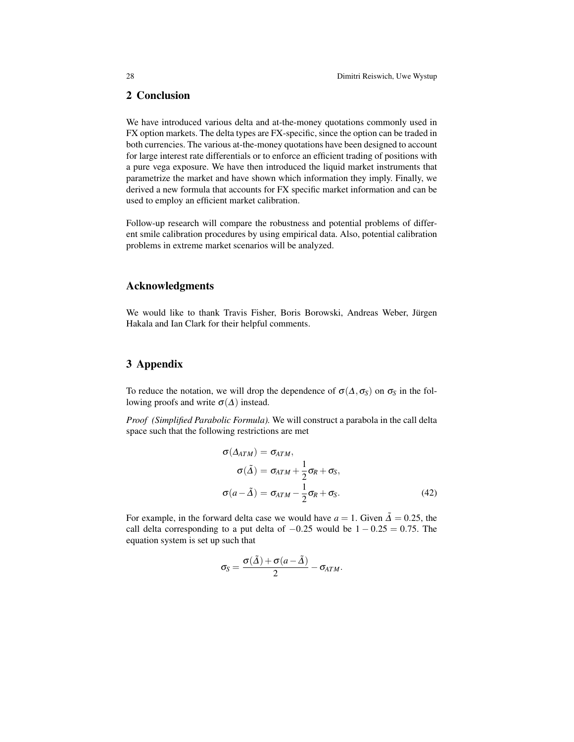# 2 Conclusion

We have introduced various delta and at-the-money quotations commonly used in FX option markets. The delta types are FX-specific, since the option can be traded in both currencies. The various at-the-money quotations have been designed to account for large interest rate differentials or to enforce an efficient trading of positions with a pure vega exposure. We have then introduced the liquid market instruments that parametrize the market and have shown which information they imply. Finally, we derived a new formula that accounts for FX specific market information and can be used to employ an efficient market calibration.

Follow-up research will compare the robustness and potential problems of different smile calibration procedures by using empirical data. Also, potential calibration problems in extreme market scenarios will be analyzed.

# Acknowledgments

We would like to thank Travis Fisher, Boris Borowski, Andreas Weber, Jürgen Hakala and Ian Clark for their helpful comments.

# 3 Appendix

To reduce the notation, we will drop the dependence of  $\sigma(\Delta, \sigma_S)$  on  $\sigma_S$  in the following proofs and write  $\sigma(\Delta)$  instead.

*Proof (Simplified Parabolic Formula).* We will construct a parabola in the call delta space such that the following restrictions are met

<span id="page-28-0"></span>
$$
\sigma(\Delta_{ATM}) = \sigma_{ATM},
$$
  
\n
$$
\sigma(\tilde{\Delta}) = \sigma_{ATM} + \frac{1}{2}\sigma_R + \sigma_S,
$$
  
\n
$$
\sigma(a - \tilde{\Delta}) = \sigma_{ATM} - \frac{1}{2}\sigma_R + \sigma_S.
$$
\n(42)

For example, in the forward delta case we would have  $a = 1$ . Given  $\tilde{\Delta} = 0.25$ , the call delta corresponding to a put delta of  $-0.25$  would be  $1 - 0.25 = 0.75$ . The equation system is set up such that

$$
\sigma_S = \frac{\sigma(\tilde{\Delta}) + \sigma(a - \tilde{\Delta})}{2} - \sigma_{ATM}.
$$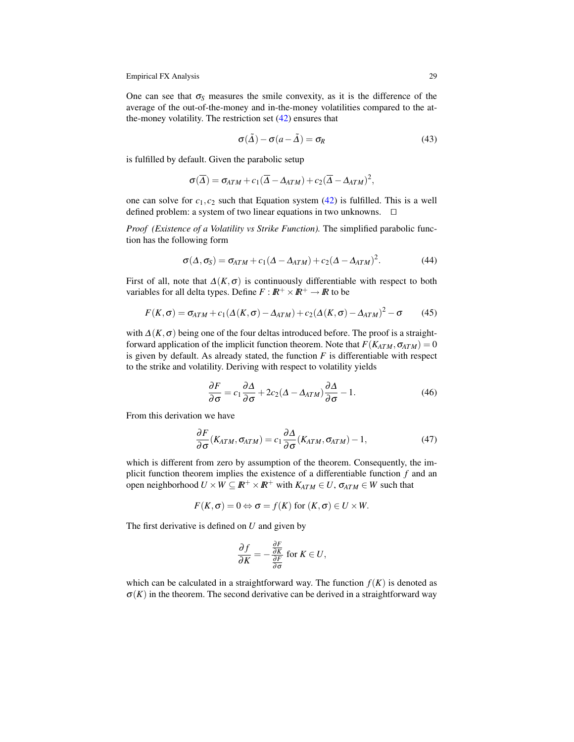One can see that  $\sigma_s$  measures the smile convexity, as it is the difference of the average of the out-of-the-money and in-the-money volatilities compared to the atthe-money volatility. The restriction set [\(42\)](#page-28-0) ensures that

$$
\sigma(\tilde{\Delta}) - \sigma(a - \tilde{\Delta}) = \sigma_R \tag{43}
$$

is fulfilled by default. Given the parabolic setup

$$
\sigma(\overline{\Delta}) = \sigma_{ATM} + c_1(\overline{\Delta} - \Delta_{ATM}) + c_2(\overline{\Delta} - \Delta_{ATM})^2,
$$

one can solve for  $c_1, c_2$  such that Equation system  $(42)$  is fulfilled. This is a well defined problem: a system of two linear equations in two unknowns.  $\Box$ 

*Proof (Existence of a Volatility vs Strike Function).* The simplified parabolic function has the following form

$$
\sigma(\Delta, \sigma_S) = \sigma_{ATM} + c_1(\Delta - \Delta_{ATM}) + c_2(\Delta - \Delta_{ATM})^2.
$$
 (44)

First of all, note that  $\Delta(K,\sigma)$  is continuously differentiable with respect to both variables for all delta types. Define  $F : \mathbb{R}^+ \times \mathbb{R}^+ \to \mathbb{R}$  to be

$$
F(K,\sigma) = \sigma_{ATM} + c_1(\Delta(K,\sigma) - \Delta_{ATM}) + c_2(\Delta(K,\sigma) - \Delta_{ATM})^2 - \sigma \tag{45}
$$

with  $\Delta(K, \sigma)$  being one of the four deltas introduced before. The proof is a straightforward application of the implicit function theorem. Note that  $F(K_{ATM}, \sigma_{ATM}) = 0$ is given by default. As already stated, the function  $F$  is differentiable with respect to the strike and volatility. Deriving with respect to volatility yields

$$
\frac{\partial F}{\partial \sigma} = c_1 \frac{\partial \Delta}{\partial \sigma} + 2c_2 (\Delta - \Delta_{ATM}) \frac{\partial \Delta}{\partial \sigma} - 1.
$$
 (46)

From this derivation we have

$$
\frac{\partial F}{\partial \sigma}(K_{ATM}, \sigma_{ATM}) = c_1 \frac{\partial \Delta}{\partial \sigma}(K_{ATM}, \sigma_{ATM}) - 1, \qquad (47)
$$

which is different from zero by assumption of the theorem. Consequently, the implicit function theorem implies the existence of a differentiable function *f* and an open neighborhood  $U \times W \subseteq \mathbb{R}^+ \times \mathbb{R}^+$  with  $K_{ATM} \in U$ ,  $\sigma_{ATM} \in W$  such that

$$
F(K,\sigma)=0 \Leftrightarrow \sigma=f(K) \text{ for } (K,\sigma)\in U\times W.
$$

The first derivative is defined on *U* and given by

$$
\frac{\partial f}{\partial K} = -\frac{\frac{\partial F}{\partial K}}{\frac{\partial F}{\partial \sigma}} \text{ for } K \in U,
$$

which can be calculated in a straightforward way. The function  $f(K)$  is denoted as  $\sigma(K)$  in the theorem. The second derivative can be derived in a straightforward way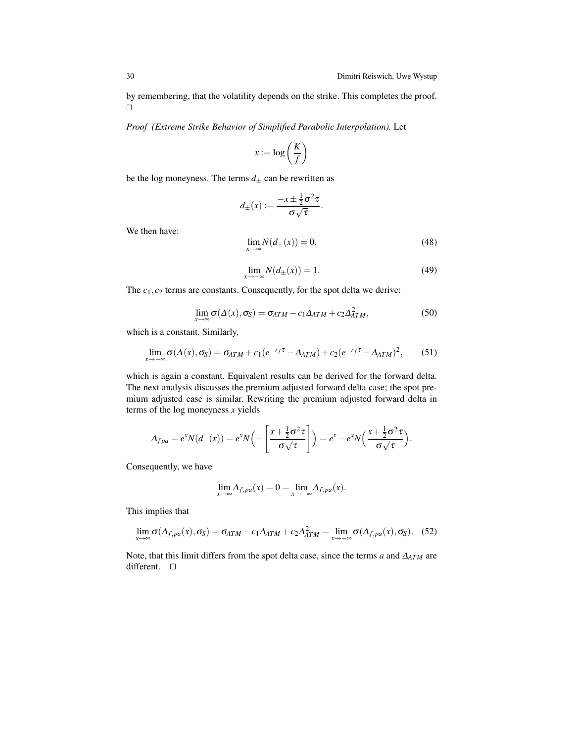by remembering, that the volatility depends on the strike. This completes the proof.  $\Box$ 

*Proof (Extreme Strike Behavior of Simplified Parabolic Interpolation).* Let

$$
x := \log\left(\frac{K}{f}\right)
$$

be the log moneyness. The terms  $d_{\pm}$  can be rewritten as

$$
d_{\pm}(x) := \frac{-x \pm \frac{1}{2}\sigma^2 \tau}{\sigma \sqrt{\tau}}
$$

We then have:

$$
\lim_{x \to \infty} N(d_{\pm}(x)) = 0,\tag{48}
$$

.

$$
\lim_{x \to -\infty} N(d_{\pm}(x)) = 1.
$$
\n(49)

The  $c_1, c_2$  terms are constants. Consequently, for the spot delta we derive:

$$
\lim_{x \to \infty} \sigma(\Delta(x), \sigma_S) = \sigma_{ATM} - c_1 \Delta_{ATM} + c_2 \Delta_{ATM}^2,
$$
\n(50)

which is a constant. Similarly,

$$
\lim_{x \to -\infty} \sigma(\Delta(x), \sigma_S) = \sigma_{ATM} + c_1 (e^{-r_f \tau} - \Delta_{ATM}) + c_2 (e^{-r_f \tau} - \Delta_{ATM})^2, \qquad (51)
$$

which is again a constant. Equivalent results can be derived for the forward delta. The next analysis discusses the premium adjusted forward delta case; the spot premium adjusted case is similar. Rewriting the premium adjusted forward delta in terms of the log moneyness *x* yields

$$
\Delta_{fpa} = e^x N(d_-(x)) = e^x N\left(-\left[\frac{x+\frac{1}{2}\sigma^2\tau}{\sigma\sqrt{\tau}}\right]\right) = e^x - e^x N\left(\frac{x+\frac{1}{2}\sigma^2\tau}{\sigma\sqrt{\tau}}\right).
$$

Consequently, we have

$$
\lim_{x \to \infty} \Delta_{f,pa}(x) = 0 = \lim_{x \to -\infty} \Delta_{f,pa}(x).
$$

This implies that

$$
\lim_{x \to \infty} \sigma(\Delta_{f,pa}(x), \sigma_S) = \sigma_{ATM} - c_1 \Delta_{ATM} + c_2 \Delta_{ATM}^2 = \lim_{x \to -\infty} \sigma(\Delta_{f,pa}(x), \sigma_S). \tag{52}
$$

Note, that this limit differs from the spot delta case, since the terms *a* and ∆*ATM* are different.  $\square$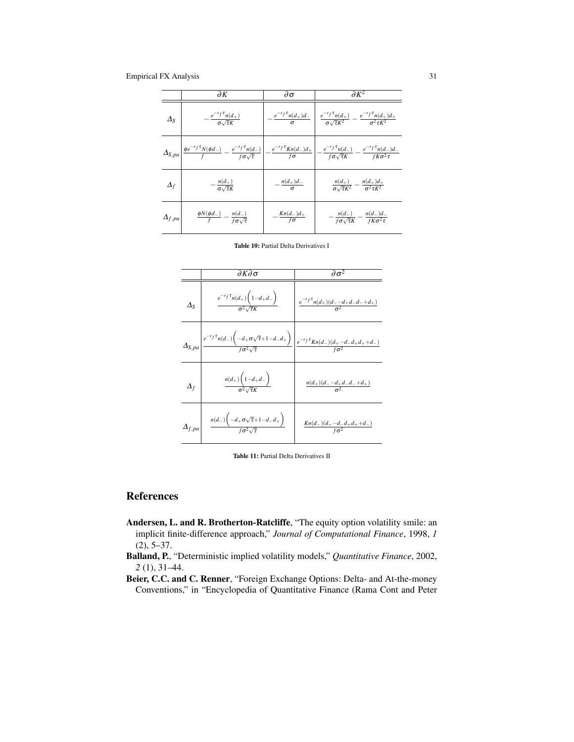<span id="page-31-3"></span>

|                 | $\partial K$                                                       | $\partial \sigma$             | $\partial K^2$                                                                                                                                                                                                                                                                                       |
|-----------------|--------------------------------------------------------------------|-------------------------------|------------------------------------------------------------------------------------------------------------------------------------------------------------------------------------------------------------------------------------------------------------------------------------------------------|
| $\Delta_S$      | $-\frac{e^{-r_f\tau}n(d_+)}{\sigma\sqrt{\tau}K}$                   |                               | $-\frac{e^{-r_f\tau}n(d_+)d_-}{\sigma}\left[\begin{array}{c}e^{-r_f\tau}n(d_+)\\ \frac{\sigma\sqrt{\tau}K^2}{\sigma\sqrt{\tau}K^2}-\frac{e^{-r_f\tau}n(d_+)d_+}{\sigma^2\tau K^2}\end{array}\right]$                                                                                                 |
|                 |                                                                    |                               | $\Delta_{S,p a} \left  \frac{\phi e^{-r_f \tau} N(\phi d_-)}{f} - \frac{e^{-r_f \tau} n(d_-)}{f \sigma \sqrt{\tau}} \right  - \frac{e^{-r_f \tau} K n(d_-) d_+}{f \sigma} \left  - \frac{e^{-r_f \tau} n(d_-)}{f \sigma \sqrt{\tau} K} - \frac{e^{-r_f \tau} n(d_-) d_-}{f K \sigma^2 \tau} \right $ |
| $\varDelta_f$   | $-\frac{n(d_+)}{\sigma\sqrt{\tau}K}$                               | $-\frac{n(d_+)d_-}{\sigma}$   | $\frac{n(d_+)}{\sigma\sqrt{\tau}K^2}-\frac{n(d_+)d_+}{\sigma^2\tau K^2}$                                                                                                                                                                                                                             |
| $\Delta_{f,pa}$ | $\frac{\phi N(\phi d_-)}{f} = \frac{n(d_-)}{f \sigma \sqrt{\tau}}$ | $-\frac{Kn(d_-)d_+}{f\sigma}$ | $-\frac{n(d_-)}{f\sigma\sqrt{\tau}K}-\frac{n(d_-)d_-}{fK\sigma^2\tau}$                                                                                                                                                                                                                               |

Table 10: Partial Delta Derivatives I

<span id="page-31-4"></span>

|                  | ∂К∂σ                                                                                                                                                                                | $\partial \sigma^2$                                                                                       |
|------------------|-------------------------------------------------------------------------------------------------------------------------------------------------------------------------------------|-----------------------------------------------------------------------------------------------------------|
| $\Delta_{\rm S}$ | $\frac{e^{-r_f\tau}n(d_+)\left(1-d_+d_-\right)}{\sigma^2\sqrt{\tau}K}$                                                                                                              | $\left  \begin{array}{cc} e^{-r_f \tau} n(d_+)(d_--d_+d_-d_-+d_+) \\ \hline \sigma^2 \end{array} \right $ |
|                  | $\Delta_{S,pa}\left \frac{e^{-r_f\tau}n(d_-)\left(-d_+\sigma\sqrt{\tau}+1-d_-d_+ \right)}{f\sigma^2\sqrt{\tau}}\right \frac{e^{-r_f\tau}\kappa n(d_-)(d_+-d-d+d_++d_-)}{f\sigma^2}$ |                                                                                                           |
| $\varDelta_f$    | $\frac{n(d_+)\left(1-d_+d_-\right)}{\sigma^2\sqrt{\tau}K}$                                                                                                                          | $\frac{n(d_{+})(d_{-}-d_{+}d_{-}d_{-}+d_{+})}{\sigma^{2}}$                                                |
| $\Delta_{f,pa}$  | $\frac{n(d_-)\left(-d_+\sigma\sqrt{\tau}+1-d_-d_+\right)}{f\sigma^2\sqrt{\tau}}$                                                                                                    | $\frac{Kn(d_-)(d_+ - d_- d_+ d_+ + d_-)}{f\sigma^2}$                                                      |

Table 11: Partial Delta Derivatives II

# **References**

- <span id="page-31-2"></span>Andersen, L. and R. Brotherton-Ratcliffe, "The equity option volatility smile: an implicit finite-difference approach," *Journal of Computational Finance*, 1998, *1* (2), 5–37.
- <span id="page-31-1"></span>Balland, P., "Deterministic implied volatility models," *Quantitative Finance*, 2002, *2* (1), 31–44.
- <span id="page-31-0"></span>Beier, C.C. and C. Renner, "Foreign Exchange Options: Delta- and At-the-money Conventions," in "Encyclopedia of Quantitative Finance (Rama Cont and Peter